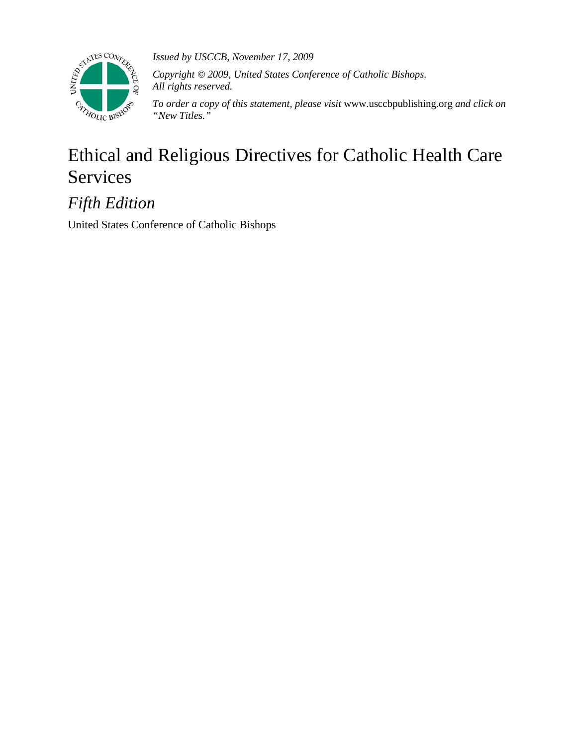

*Issued by USCCB, November 17, 2009 Copyright © 2009, United States Conference of Catholic Bishops. All rights reserved.*

*To order a copy of this statement, please visit* www.usccbpublishing.org *and click on "New Titles."*

# Ethical and Religious Directives for Catholic Health Care Services

*Fifth Edition*

United States Conference of Catholic Bishops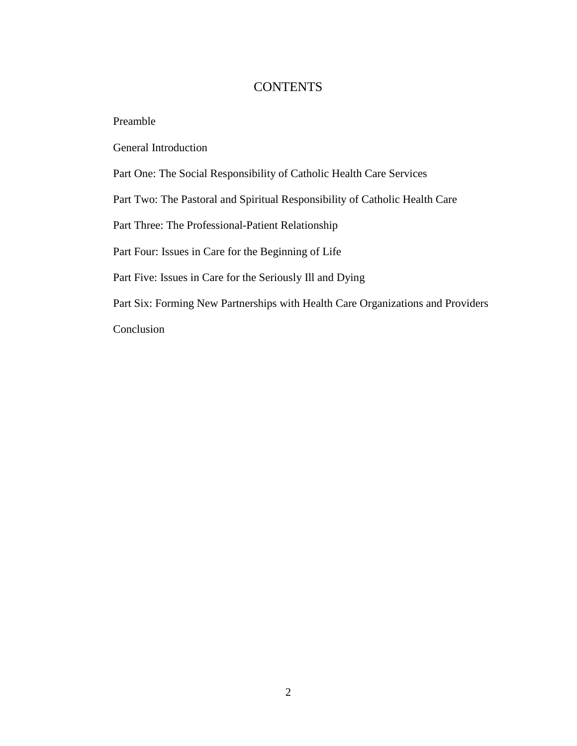# **CONTENTS**

Preamble

General Introduction

Part One: The Social Responsibility of Catholic Health Care Services

Part Two: The Pastoral and Spiritual Responsibility of Catholic Health Care

Part Three: The Professional-Patient Relationship

Part Four: Issues in Care for the Beginning of Life

Part Five: Issues in Care for the Seriously Ill and Dying

Part Six: Forming New Partnerships with Health Care Organizations and Providers Conclusion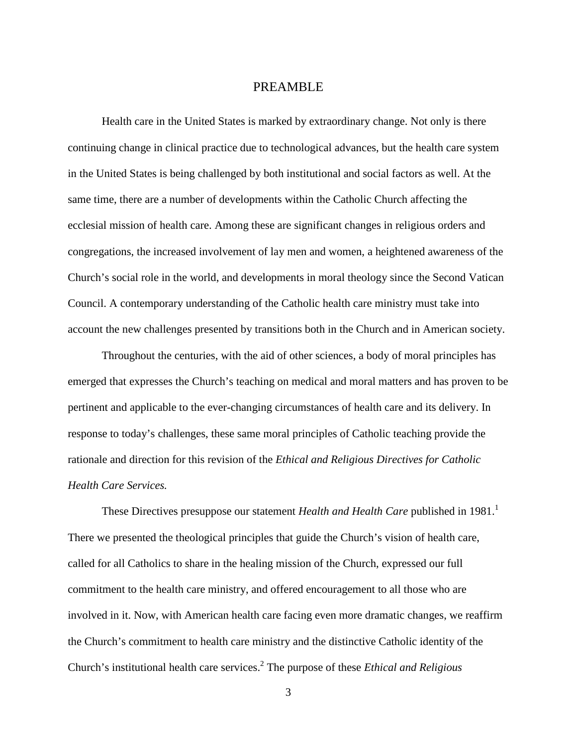# PREAMBLE

Health care in the United States is marked by extraordinary change. Not only is there continuing change in clinical practice due to technological advances, but the health care system in the United States is being challenged by both institutional and social factors as well. At the same time, there are a number of developments within the Catholic Church affecting the ecclesial mission of health care. Among these are significant changes in religious orders and congregations, the increased involvement of lay men and women, a heightened awareness of the Church's social role in the world, and developments in moral theology since the Second Vatican Council. A contemporary understanding of the Catholic health care ministry must take into account the new challenges presented by transitions both in the Church and in American society.

Throughout the centuries, with the aid of other sciences, a body of moral principles has emerged that expresses the Church's teaching on medical and moral matters and has proven to be pertinent and applicable to the ever-changing circumstances of health care and its delivery. In response to today's challenges, these same moral principles of Catholic teaching provide the rationale and direction for this revision of the *Ethical and Religious Directives for Catholic Health Care Services.*

These Directives presuppose our statement *Health and Health Care* published in 1981.<sup>1</sup> There we presented the theological principles that guide the Church's vision of health care, called for all Catholics to share in the healing mission of the Church, expressed our full commitment to the health care ministry, and offered encouragement to all those who are involved in it. Now, with American health care facing even more dramatic changes, we reaffirm the Church's commitment to health care ministry and the distinctive Catholic identity of the Church's institutional health care services.<sup>2</sup> The purpose of these *Ethical and Religious*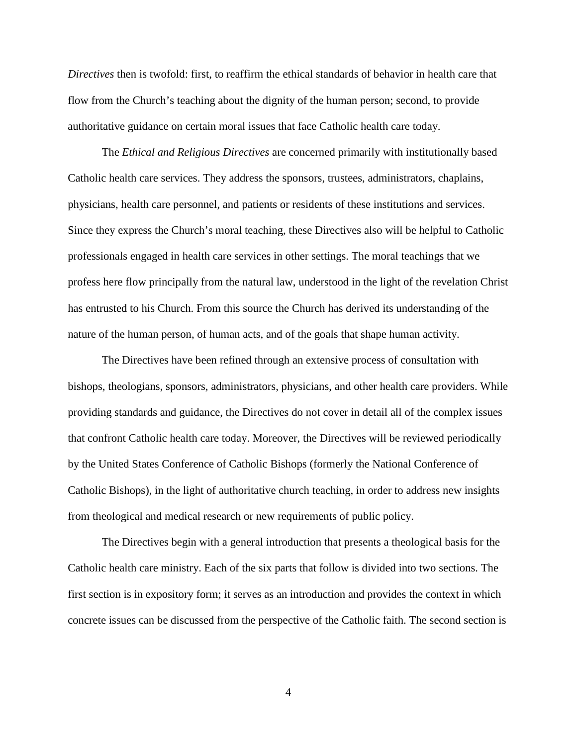*Directives* then is twofold: first, to reaffirm the ethical standards of behavior in health care that flow from the Church's teaching about the dignity of the human person; second, to provide authoritative guidance on certain moral issues that face Catholic health care today.

The *Ethical and Religious Directives* are concerned primarily with institutionally based Catholic health care services. They address the sponsors, trustees, administrators, chaplains, physicians, health care personnel, and patients or residents of these institutions and services. Since they express the Church's moral teaching, these Directives also will be helpful to Catholic professionals engaged in health care services in other settings. The moral teachings that we profess here flow principally from the natural law, understood in the light of the revelation Christ has entrusted to his Church. From this source the Church has derived its understanding of the nature of the human person, of human acts, and of the goals that shape human activity.

The Directives have been refined through an extensive process of consultation with bishops, theologians, sponsors, administrators, physicians, and other health care providers. While providing standards and guidance, the Directives do not cover in detail all of the complex issues that confront Catholic health care today. Moreover, the Directives will be reviewed periodically by the United States Conference of Catholic Bishops (formerly the National Conference of Catholic Bishops), in the light of authoritative church teaching, in order to address new insights from theological and medical research or new requirements of public policy.

The Directives begin with a general introduction that presents a theological basis for the Catholic health care ministry. Each of the six parts that follow is divided into two sections. The first section is in expository form; it serves as an introduction and provides the context in which concrete issues can be discussed from the perspective of the Catholic faith. The second section is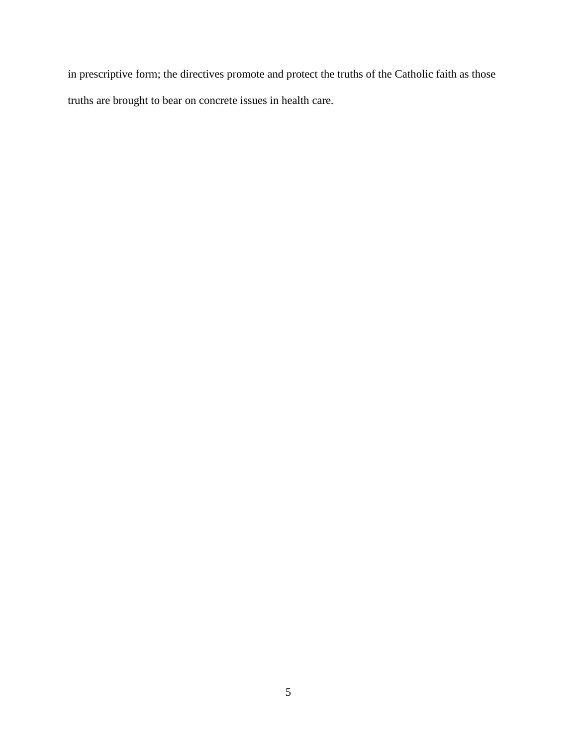in prescriptive form; the directives promote and protect the truths of the Catholic faith as those truths are brought to bear on concrete issues in health care.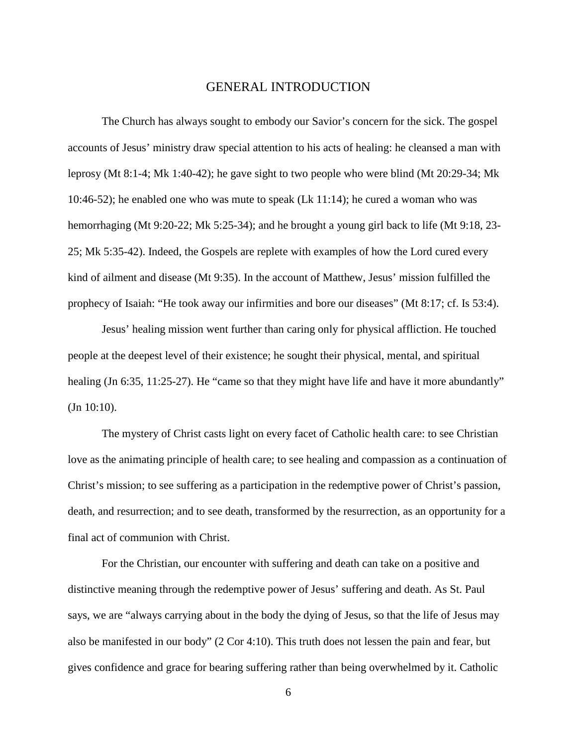## GENERAL INTRODUCTION

The Church has always sought to embody our Savior's concern for the sick. The gospel accounts of Jesus' ministry draw special attention to his acts of healing: he cleansed a man with leprosy (Mt 8:1-4; Mk 1:40-42); he gave sight to two people who were blind (Mt 20:29-34; Mk 10:46-52); he enabled one who was mute to speak (Lk 11:14); he cured a woman who was hemorrhaging (Mt 9:20-22; Mk 5:25-34); and he brought a young girl back to life (Mt 9:18, 23-25; Mk 5:35-42). Indeed, the Gospels are replete with examples of how the Lord cured every kind of ailment and disease (Mt 9:35). In the account of Matthew, Jesus' mission fulfilled the prophecy of Isaiah: "He took away our infirmities and bore our diseases" (Mt 8:17; cf. Is 53:4).

Jesus' healing mission went further than caring only for physical affliction. He touched people at the deepest level of their existence; he sought their physical, mental, and spiritual healing (Jn 6:35, 11:25-27). He "came so that they might have life and have it more abundantly" (Jn 10:10).

The mystery of Christ casts light on every facet of Catholic health care: to see Christian love as the animating principle of health care; to see healing and compassion as a continuation of Christ's mission; to see suffering as a participation in the redemptive power of Christ's passion, death, and resurrection; and to see death, transformed by the resurrection, as an opportunity for a final act of communion with Christ.

For the Christian, our encounter with suffering and death can take on a positive and distinctive meaning through the redemptive power of Jesus' suffering and death. As St. Paul says, we are "always carrying about in the body the dying of Jesus, so that the life of Jesus may also be manifested in our body" (2 Cor 4:10). This truth does not lessen the pain and fear, but gives confidence and grace for bearing suffering rather than being overwhelmed by it. Catholic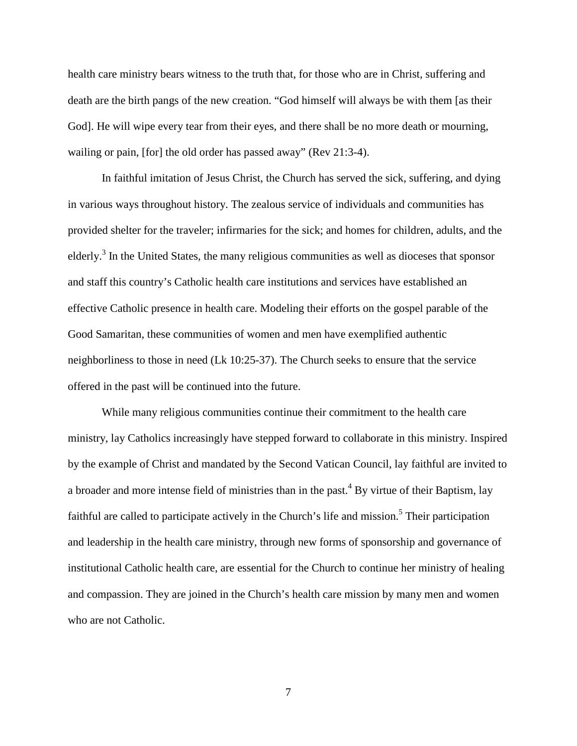health care ministry bears witness to the truth that, for those who are in Christ, suffering and death are the birth pangs of the new creation. "God himself will always be with them [as their God]. He will wipe every tear from their eyes, and there shall be no more death or mourning, wailing or pain, [for] the old order has passed away" (Rev 21:3-4).

In faithful imitation of Jesus Christ, the Church has served the sick, suffering, and dying in various ways throughout history. The zealous service of individuals and communities has provided shelter for the traveler; infirmaries for the sick; and homes for children, adults, and the elderly.<sup>3</sup> In the United States, the many religious communities as well as dioceses that sponsor and staff this country's Catholic health care institutions and services have established an effective Catholic presence in health care. Modeling their efforts on the gospel parable of the Good Samaritan, these communities of women and men have exemplified authentic neighborliness to those in need (Lk 10:25-37). The Church seeks to ensure that the service offered in the past will be continued into the future.

While many religious communities continue their commitment to the health care ministry, lay Catholics increasingly have stepped forward to collaborate in this ministry. Inspired by the example of Christ and mandated by the Second Vatican Council, lay faithful are invited to a broader and more intense field of ministries than in the past.<sup>4</sup> By virtue of their Baptism, lay faithful are called to participate actively in the Church's life and mission.<sup>5</sup> Their participation and leadership in the health care ministry, through new forms of sponsorship and governance of institutional Catholic health care, are essential for the Church to continue her ministry of healing and compassion. They are joined in the Church's health care mission by many men and women who are not Catholic.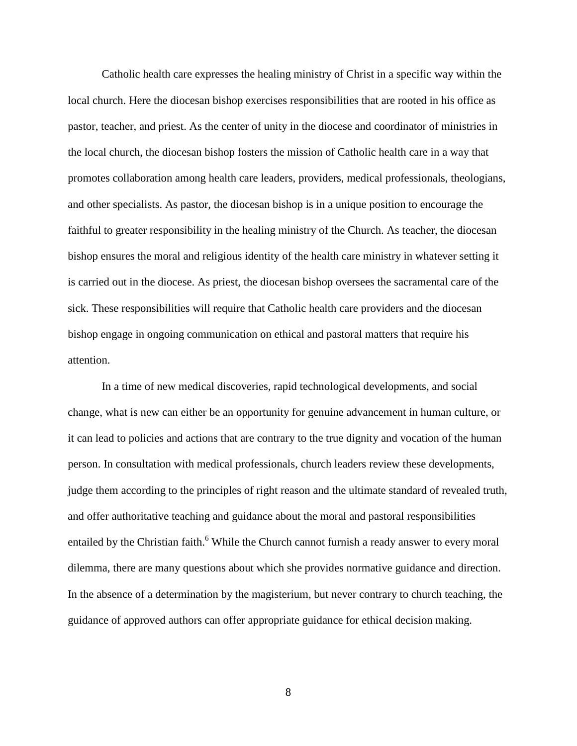Catholic health care expresses the healing ministry of Christ in a specific way within the local church. Here the diocesan bishop exercises responsibilities that are rooted in his office as pastor, teacher, and priest. As the center of unity in the diocese and coordinator of ministries in the local church, the diocesan bishop fosters the mission of Catholic health care in a way that promotes collaboration among health care leaders, providers, medical professionals, theologians, and other specialists. As pastor, the diocesan bishop is in a unique position to encourage the faithful to greater responsibility in the healing ministry of the Church. As teacher, the diocesan bishop ensures the moral and religious identity of the health care ministry in whatever setting it is carried out in the diocese. As priest, the diocesan bishop oversees the sacramental care of the sick. These responsibilities will require that Catholic health care providers and the diocesan bishop engage in ongoing communication on ethical and pastoral matters that require his attention.

In a time of new medical discoveries, rapid technological developments, and social change, what is new can either be an opportunity for genuine advancement in human culture, or it can lead to policies and actions that are contrary to the true dignity and vocation of the human person. In consultation with medical professionals, church leaders review these developments, judge them according to the principles of right reason and the ultimate standard of revealed truth, and offer authoritative teaching and guidance about the moral and pastoral responsibilities entailed by the Christian faith.<sup>6</sup> While the Church cannot furnish a ready answer to every moral dilemma, there are many questions about which she provides normative guidance and direction. In the absence of a determination by the magisterium, but never contrary to church teaching, the guidance of approved authors can offer appropriate guidance for ethical decision making.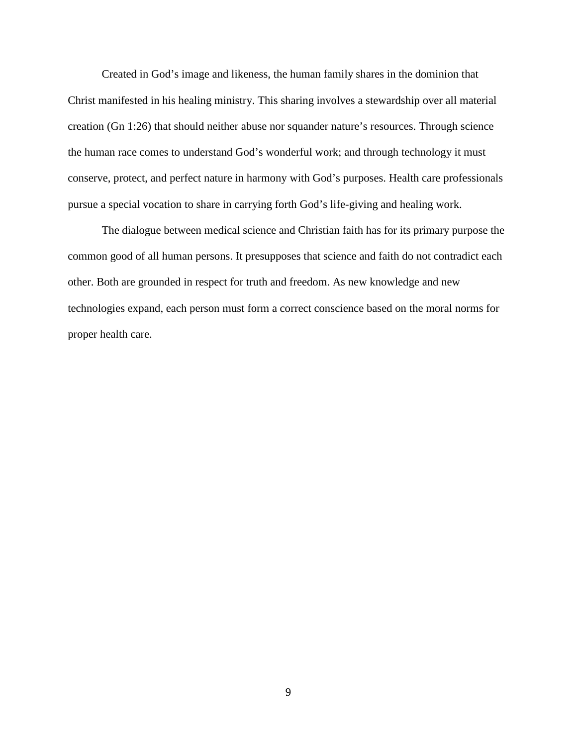Created in God's image and likeness, the human family shares in the dominion that Christ manifested in his healing ministry. This sharing involves a stewardship over all material creation (Gn 1:26) that should neither abuse nor squander nature's resources. Through science the human race comes to understand God's wonderful work; and through technology it must conserve, protect, and perfect nature in harmony with God's purposes. Health care professionals pursue a special vocation to share in carrying forth God's life-giving and healing work.

The dialogue between medical science and Christian faith has for its primary purpose the common good of all human persons. It presupposes that science and faith do not contradict each other. Both are grounded in respect for truth and freedom. As new knowledge and new technologies expand, each person must form a correct conscience based on the moral norms for proper health care.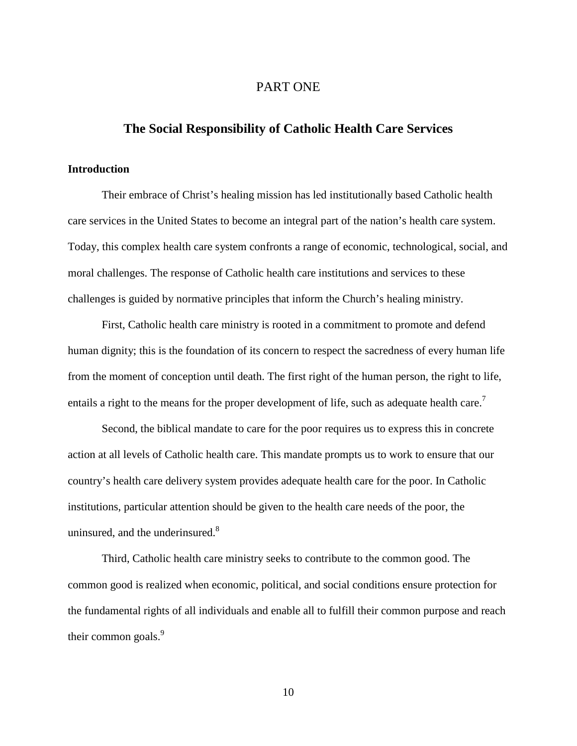# PART ONE

## **The Social Responsibility of Catholic Health Care Services**

#### **Introduction**

Their embrace of Christ's healing mission has led institutionally based Catholic health care services in the United States to become an integral part of the nation's health care system. Today, this complex health care system confronts a range of economic, technological, social, and moral challenges. The response of Catholic health care institutions and services to these challenges is guided by normative principles that inform the Church's healing ministry.

First, Catholic health care ministry is rooted in a commitment to promote and defend human dignity; this is the foundation of its concern to respect the sacredness of every human life from the moment of conception until death. The first right of the human person, the right to life, entails a right to the means for the proper development of life, such as adequate health care.<sup>7</sup>

Second, the biblical mandate to care for the poor requires us to express this in concrete action at all levels of Catholic health care. This mandate prompts us to work to ensure that our country's health care delivery system provides adequate health care for the poor. In Catholic institutions, particular attention should be given to the health care needs of the poor, the uninsured, and the underinsured.<sup>8</sup>

Third, Catholic health care ministry seeks to contribute to the common good. The common good is realized when economic, political, and social conditions ensure protection for the fundamental rights of all individuals and enable all to fulfill their common purpose and reach their common goals.<sup>9</sup>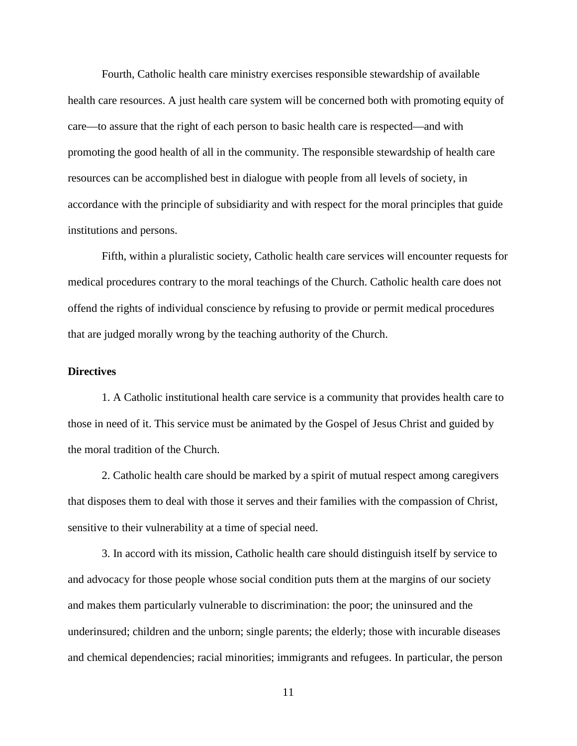Fourth, Catholic health care ministry exercises responsible stewardship of available health care resources. A just health care system will be concerned both with promoting equity of care—to assure that the right of each person to basic health care is respected—and with promoting the good health of all in the community. The responsible stewardship of health care resources can be accomplished best in dialogue with people from all levels of society, in accordance with the principle of subsidiarity and with respect for the moral principles that guide institutions and persons.

Fifth, within a pluralistic society, Catholic health care services will encounter requests for medical procedures contrary to the moral teachings of the Church. Catholic health care does not offend the rights of individual conscience by refusing to provide or permit medical procedures that are judged morally wrong by the teaching authority of the Church.

## **Directives**

1. A Catholic institutional health care service is a community that provides health care to those in need of it. This service must be animated by the Gospel of Jesus Christ and guided by the moral tradition of the Church.

2. Catholic health care should be marked by a spirit of mutual respect among caregivers that disposes them to deal with those it serves and their families with the compassion of Christ, sensitive to their vulnerability at a time of special need.

3. In accord with its mission, Catholic health care should distinguish itself by service to and advocacy for those people whose social condition puts them at the margins of our society and makes them particularly vulnerable to discrimination: the poor; the uninsured and the underinsured; children and the unborn; single parents; the elderly; those with incurable diseases and chemical dependencies; racial minorities; immigrants and refugees. In particular, the person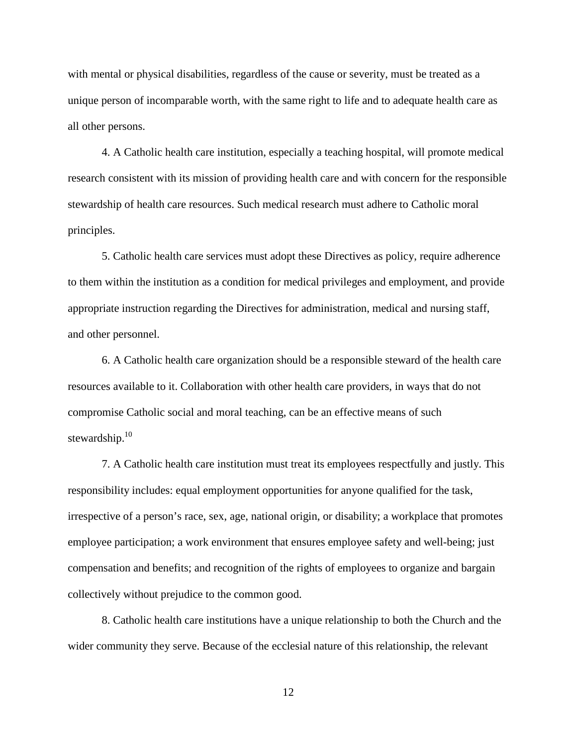with mental or physical disabilities, regardless of the cause or severity, must be treated as a unique person of incomparable worth, with the same right to life and to adequate health care as all other persons.

4. A Catholic health care institution, especially a teaching hospital, will promote medical research consistent with its mission of providing health care and with concern for the responsible stewardship of health care resources. Such medical research must adhere to Catholic moral principles.

5. Catholic health care services must adopt these Directives as policy, require adherence to them within the institution as a condition for medical privileges and employment, and provide appropriate instruction regarding the Directives for administration, medical and nursing staff, and other personnel.

6. A Catholic health care organization should be a responsible steward of the health care resources available to it. Collaboration with other health care providers, in ways that do not compromise Catholic social and moral teaching, can be an effective means of such stewardship. $10$ 

7. A Catholic health care institution must treat its employees respectfully and justly. This responsibility includes: equal employment opportunities for anyone qualified for the task, irrespective of a person's race, sex, age, national origin, or disability; a workplace that promotes employee participation; a work environment that ensures employee safety and well-being; just compensation and benefits; and recognition of the rights of employees to organize and bargain collectively without prejudice to the common good.

8. Catholic health care institutions have a unique relationship to both the Church and the wider community they serve. Because of the ecclesial nature of this relationship, the relevant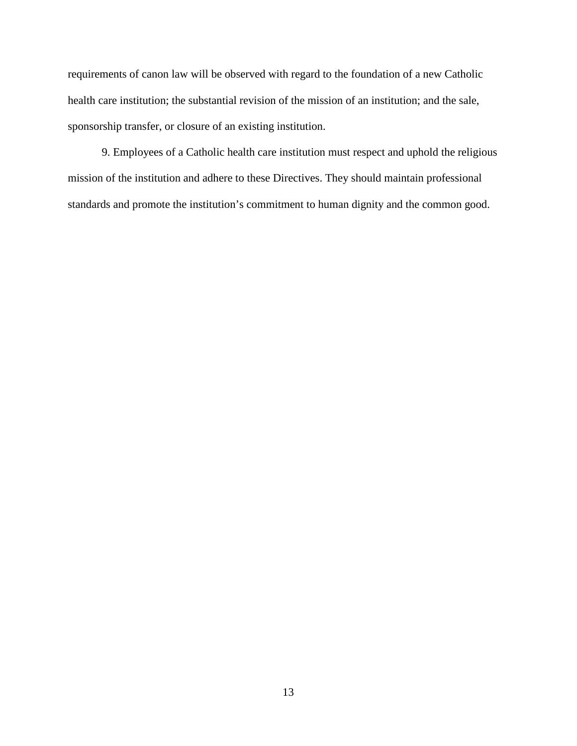requirements of canon law will be observed with regard to the foundation of a new Catholic health care institution; the substantial revision of the mission of an institution; and the sale, sponsorship transfer, or closure of an existing institution.

9. Employees of a Catholic health care institution must respect and uphold the religious mission of the institution and adhere to these Directives. They should maintain professional standards and promote the institution's commitment to human dignity and the common good.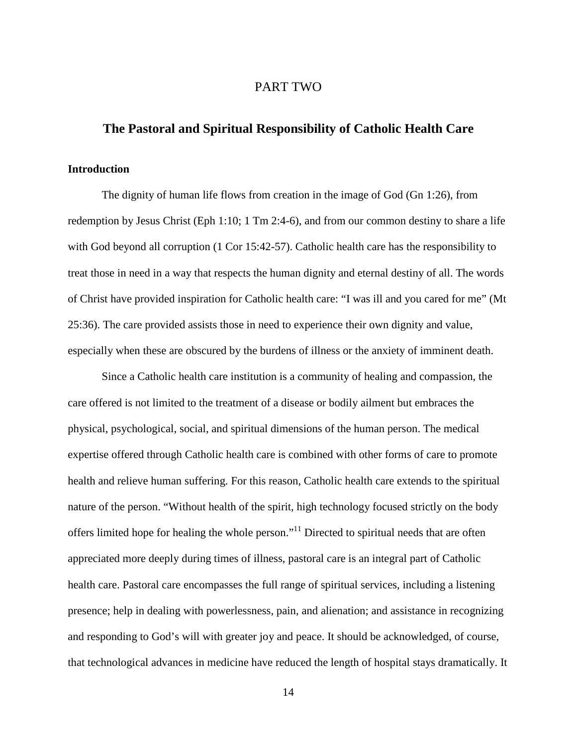# PART TWO

# **The Pastoral and Spiritual Responsibility of Catholic Health Care**

## **Introduction**

The dignity of human life flows from creation in the image of God (Gn 1:26), from redemption by Jesus Christ (Eph 1:10; 1 Tm 2:4-6), and from our common destiny to share a life with God beyond all corruption (1 Cor 15:42-57). Catholic health care has the responsibility to treat those in need in a way that respects the human dignity and eternal destiny of all. The words of Christ have provided inspiration for Catholic health care: "I was ill and you cared for me" (Mt 25:36). The care provided assists those in need to experience their own dignity and value, especially when these are obscured by the burdens of illness or the anxiety of imminent death.

Since a Catholic health care institution is a community of healing and compassion, the care offered is not limited to the treatment of a disease or bodily ailment but embraces the physical, psychological, social, and spiritual dimensions of the human person. The medical expertise offered through Catholic health care is combined with other forms of care to promote health and relieve human suffering. For this reason, Catholic health care extends to the spiritual nature of the person. "Without health of the spirit, high technology focused strictly on the body offers limited hope for healing the whole person."11 Directed to spiritual needs that are often appreciated more deeply during times of illness, pastoral care is an integral part of Catholic health care. Pastoral care encompasses the full range of spiritual services, including a listening presence; help in dealing with powerlessness, pain, and alienation; and assistance in recognizing and responding to God's will with greater joy and peace. It should be acknowledged, of course, that technological advances in medicine have reduced the length of hospital stays dramatically. It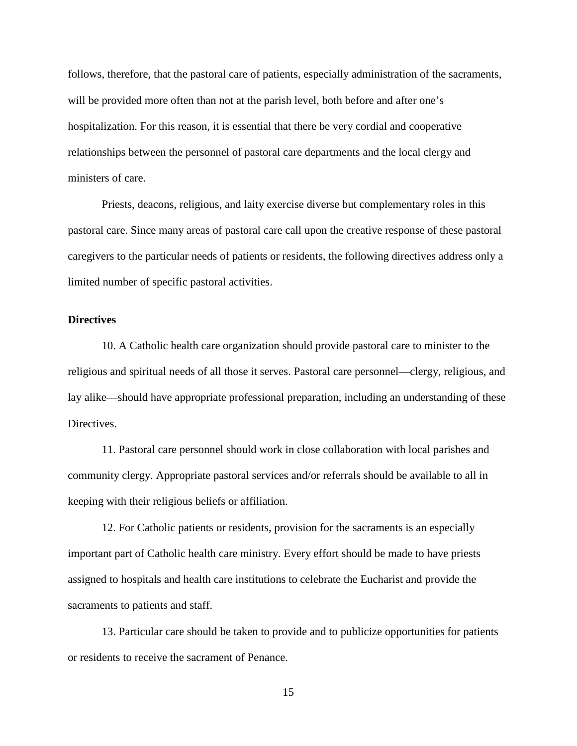follows, therefore, that the pastoral care of patients, especially administration of the sacraments, will be provided more often than not at the parish level, both before and after one's hospitalization. For this reason, it is essential that there be very cordial and cooperative relationships between the personnel of pastoral care departments and the local clergy and ministers of care.

Priests, deacons, religious, and laity exercise diverse but complementary roles in this pastoral care. Since many areas of pastoral care call upon the creative response of these pastoral caregivers to the particular needs of patients or residents, the following directives address only a limited number of specific pastoral activities.

### **Directives**

10. A Catholic health care organization should provide pastoral care to minister to the religious and spiritual needs of all those it serves. Pastoral care personnel—clergy, religious, and lay alike—should have appropriate professional preparation, including an understanding of these Directives.

11. Pastoral care personnel should work in close collaboration with local parishes and community clergy. Appropriate pastoral services and/or referrals should be available to all in keeping with their religious beliefs or affiliation.

12. For Catholic patients or residents, provision for the sacraments is an especially important part of Catholic health care ministry. Every effort should be made to have priests assigned to hospitals and health care institutions to celebrate the Eucharist and provide the sacraments to patients and staff.

13. Particular care should be taken to provide and to publicize opportunities for patients or residents to receive the sacrament of Penance.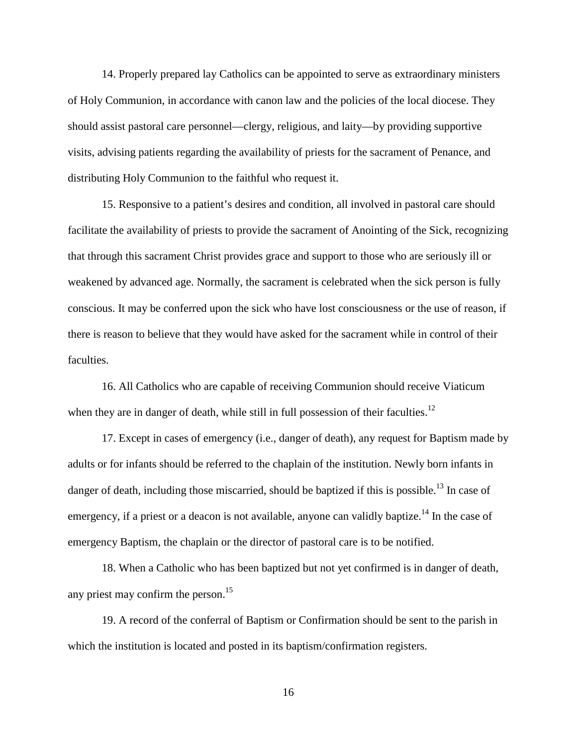14. Properly prepared lay Catholics can be appointed to serve as extraordinary ministers of Holy Communion, in accordance with canon law and the policies of the local diocese. They should assist pastoral care personnel—clergy, religious, and laity—by providing supportive visits, advising patients regarding the availability of priests for the sacrament of Penance, and distributing Holy Communion to the faithful who request it.

15. Responsive to a patient's desires and condition, all involved in pastoral care should facilitate the availability of priests to provide the sacrament of Anointing of the Sick, recognizing that through this sacrament Christ provides grace and support to those who are seriously ill or weakened by advanced age. Normally, the sacrament is celebrated when the sick person is fully conscious. It may be conferred upon the sick who have lost consciousness or the use of reason, if there is reason to believe that they would have asked for the sacrament while in control of their faculties.

16. All Catholics who are capable of receiving Communion should receive Viaticum when they are in danger of death, while still in full possession of their faculties.<sup>12</sup>

17. Except in cases of emergency (i.e., danger of death), any request for Baptism made by adults or for infants should be referred to the chaplain of the institution. Newly born infants in danger of death, including those miscarried, should be baptized if this is possible.<sup>13</sup> In case of emergency, if a priest or a deacon is not available, anyone can validly baptize.<sup>14</sup> In the case of emergency Baptism, the chaplain or the director of pastoral care is to be notified.

18. When a Catholic who has been baptized but not yet confirmed is in danger of death, any priest may confirm the person. $15$ 

19. A record of the conferral of Baptism or Confirmation should be sent to the parish in which the institution is located and posted in its baptism/confirmation registers.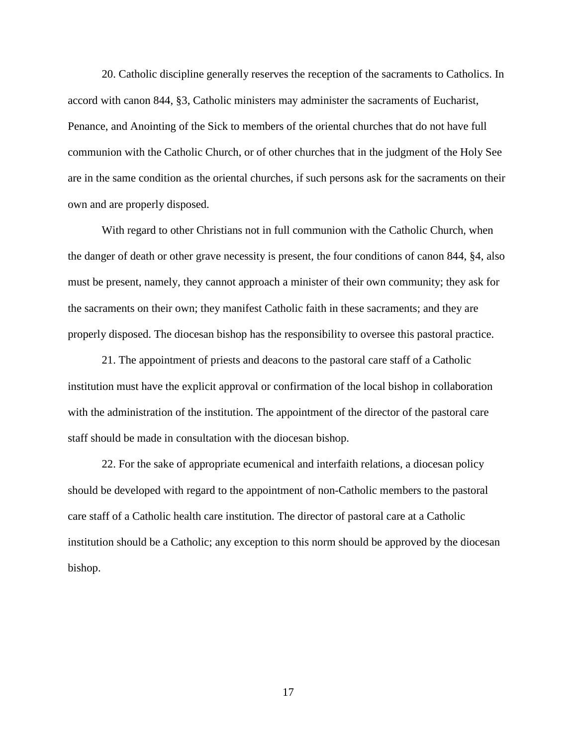20. Catholic discipline generally reserves the reception of the sacraments to Catholics. In accord with canon 844, §3, Catholic ministers may administer the sacraments of Eucharist, Penance, and Anointing of the Sick to members of the oriental churches that do not have full communion with the Catholic Church, or of other churches that in the judgment of the Holy See are in the same condition as the oriental churches, if such persons ask for the sacraments on their own and are properly disposed.

With regard to other Christians not in full communion with the Catholic Church, when the danger of death or other grave necessity is present, the four conditions of canon 844, §4, also must be present, namely, they cannot approach a minister of their own community; they ask for the sacraments on their own; they manifest Catholic faith in these sacraments; and they are properly disposed. The diocesan bishop has the responsibility to oversee this pastoral practice.

21. The appointment of priests and deacons to the pastoral care staff of a Catholic institution must have the explicit approval or confirmation of the local bishop in collaboration with the administration of the institution. The appointment of the director of the pastoral care staff should be made in consultation with the diocesan bishop.

22. For the sake of appropriate ecumenical and interfaith relations, a diocesan policy should be developed with regard to the appointment of non-Catholic members to the pastoral care staff of a Catholic health care institution. The director of pastoral care at a Catholic institution should be a Catholic; any exception to this norm should be approved by the diocesan bishop.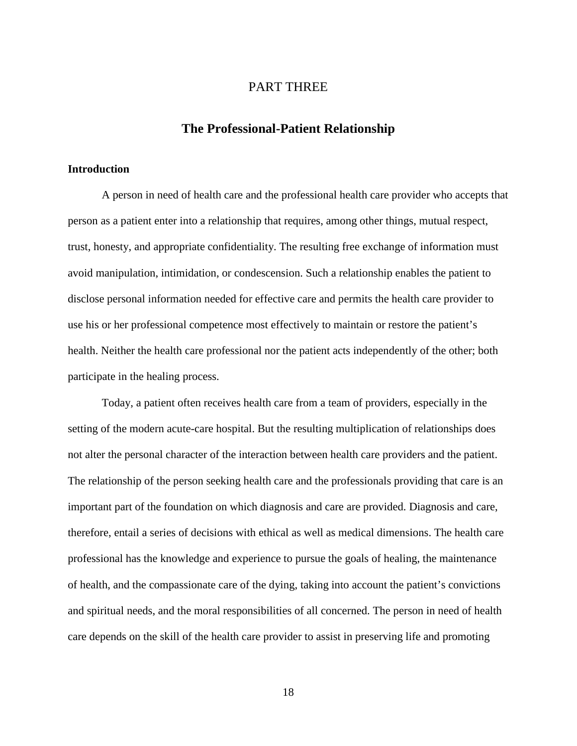# PART THREE

## **The Professional-Patient Relationship**

## **Introduction**

A person in need of health care and the professional health care provider who accepts that person as a patient enter into a relationship that requires, among other things, mutual respect, trust, honesty, and appropriate confidentiality. The resulting free exchange of information must avoid manipulation, intimidation, or condescension. Such a relationship enables the patient to disclose personal information needed for effective care and permits the health care provider to use his or her professional competence most effectively to maintain or restore the patient's health. Neither the health care professional nor the patient acts independently of the other; both participate in the healing process.

Today, a patient often receives health care from a team of providers, especially in the setting of the modern acute-care hospital. But the resulting multiplication of relationships does not alter the personal character of the interaction between health care providers and the patient. The relationship of the person seeking health care and the professionals providing that care is an important part of the foundation on which diagnosis and care are provided. Diagnosis and care, therefore, entail a series of decisions with ethical as well as medical dimensions. The health care professional has the knowledge and experience to pursue the goals of healing, the maintenance of health, and the compassionate care of the dying, taking into account the patient's convictions and spiritual needs, and the moral responsibilities of all concerned. The person in need of health care depends on the skill of the health care provider to assist in preserving life and promoting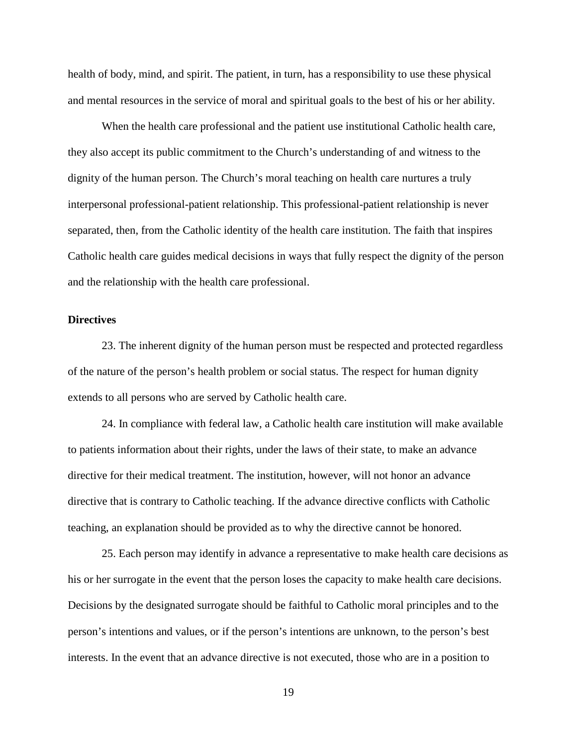health of body, mind, and spirit. The patient, in turn, has a responsibility to use these physical and mental resources in the service of moral and spiritual goals to the best of his or her ability.

When the health care professional and the patient use institutional Catholic health care, they also accept its public commitment to the Church's understanding of and witness to the dignity of the human person. The Church's moral teaching on health care nurtures a truly interpersonal professional-patient relationship. This professional-patient relationship is never separated, then, from the Catholic identity of the health care institution. The faith that inspires Catholic health care guides medical decisions in ways that fully respect the dignity of the person and the relationship with the health care professional.

## **Directives**

23. The inherent dignity of the human person must be respected and protected regardless of the nature of the person's health problem or social status. The respect for human dignity extends to all persons who are served by Catholic health care.

24. In compliance with federal law, a Catholic health care institution will make available to patients information about their rights, under the laws of their state, to make an advance directive for their medical treatment. The institution, however, will not honor an advance directive that is contrary to Catholic teaching. If the advance directive conflicts with Catholic teaching, an explanation should be provided as to why the directive cannot be honored.

25. Each person may identify in advance a representative to make health care decisions as his or her surrogate in the event that the person loses the capacity to make health care decisions. Decisions by the designated surrogate should be faithful to Catholic moral principles and to the person's intentions and values, or if the person's intentions are unknown, to the person's best interests. In the event that an advance directive is not executed, those who are in a position to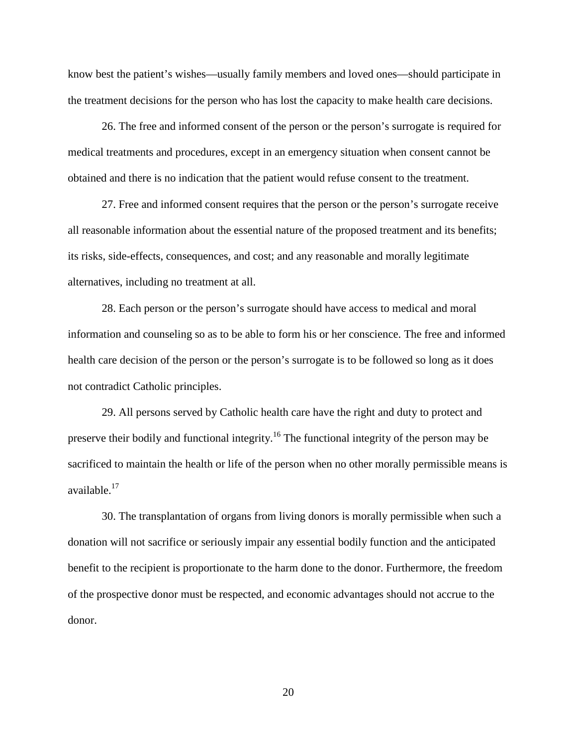know best the patient's wishes—usually family members and loved ones—should participate in the treatment decisions for the person who has lost the capacity to make health care decisions.

26. The free and informed consent of the person or the person's surrogate is required for medical treatments and procedures, except in an emergency situation when consent cannot be obtained and there is no indication that the patient would refuse consent to the treatment.

27. Free and informed consent requires that the person or the person's surrogate receive all reasonable information about the essential nature of the proposed treatment and its benefits; its risks, side-effects, consequences, and cost; and any reasonable and morally legitimate alternatives, including no treatment at all.

28. Each person or the person's surrogate should have access to medical and moral information and counseling so as to be able to form his or her conscience. The free and informed health care decision of the person or the person's surrogate is to be followed so long as it does not contradict Catholic principles.

29. All persons served by Catholic health care have the right and duty to protect and preserve their bodily and functional integrity.<sup>16</sup> The functional integrity of the person may be sacrificed to maintain the health or life of the person when no other morally permissible means is available.17

30. The transplantation of organs from living donors is morally permissible when such a donation will not sacrifice or seriously impair any essential bodily function and the anticipated benefit to the recipient is proportionate to the harm done to the donor. Furthermore, the freedom of the prospective donor must be respected, and economic advantages should not accrue to the donor.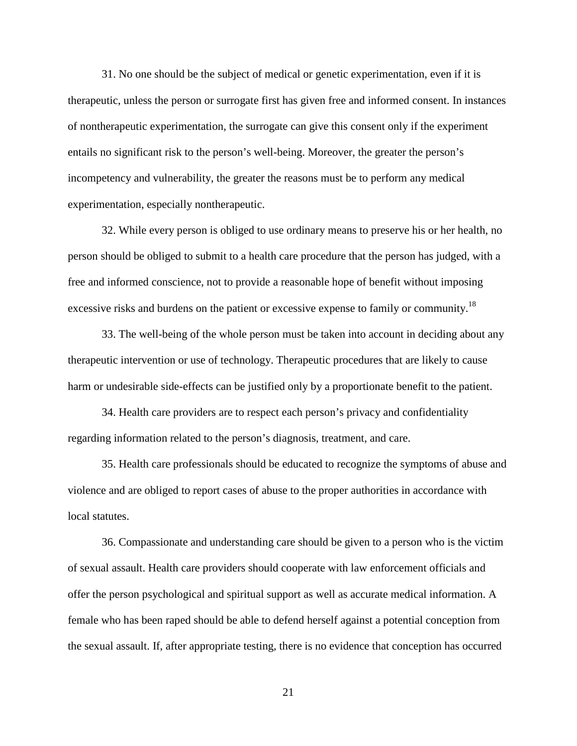31. No one should be the subject of medical or genetic experimentation, even if it is therapeutic, unless the person or surrogate first has given free and informed consent. In instances of nontherapeutic experimentation, the surrogate can give this consent only if the experiment entails no significant risk to the person's well-being. Moreover, the greater the person's incompetency and vulnerability, the greater the reasons must be to perform any medical experimentation, especially nontherapeutic.

32. While every person is obliged to use ordinary means to preserve his or her health, no person should be obliged to submit to a health care procedure that the person has judged, with a free and informed conscience, not to provide a reasonable hope of benefit without imposing excessive risks and burdens on the patient or excessive expense to family or community.<sup>18</sup>

33. The well-being of the whole person must be taken into account in deciding about any therapeutic intervention or use of technology. Therapeutic procedures that are likely to cause harm or undesirable side-effects can be justified only by a proportionate benefit to the patient.

34. Health care providers are to respect each person's privacy and confidentiality regarding information related to the person's diagnosis, treatment, and care.

35. Health care professionals should be educated to recognize the symptoms of abuse and violence and are obliged to report cases of abuse to the proper authorities in accordance with local statutes.

36. Compassionate and understanding care should be given to a person who is the victim of sexual assault. Health care providers should cooperate with law enforcement officials and offer the person psychological and spiritual support as well as accurate medical information. A female who has been raped should be able to defend herself against a potential conception from the sexual assault. If, after appropriate testing, there is no evidence that conception has occurred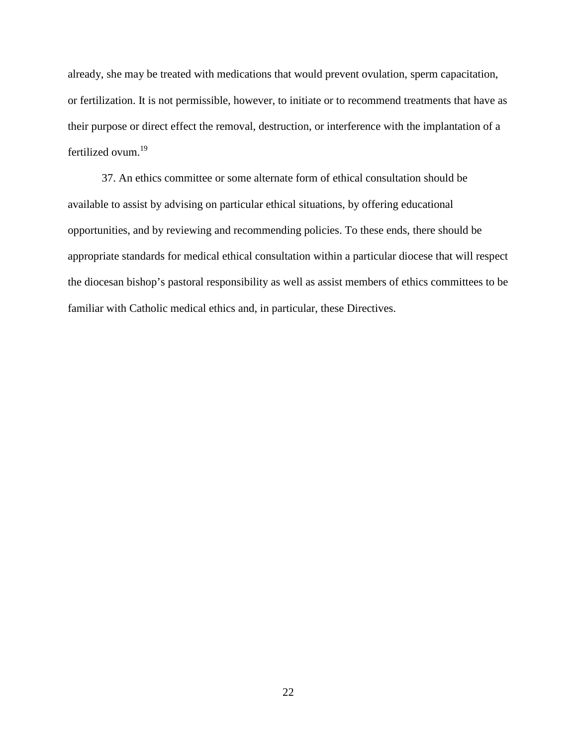already, she may be treated with medications that would prevent ovulation, sperm capacitation, or fertilization. It is not permissible, however, to initiate or to recommend treatments that have as their purpose or direct effect the removal, destruction, or interference with the implantation of a fertilized ovum.<sup>19</sup>

37. An ethics committee or some alternate form of ethical consultation should be available to assist by advising on particular ethical situations, by offering educational opportunities, and by reviewing and recommending policies. To these ends, there should be appropriate standards for medical ethical consultation within a particular diocese that will respect the diocesan bishop's pastoral responsibility as well as assist members of ethics committees to be familiar with Catholic medical ethics and, in particular, these Directives.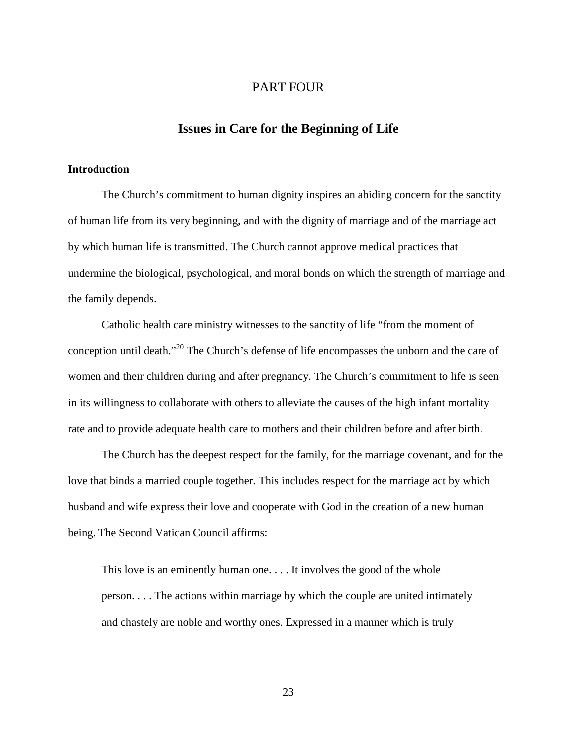# PART FOUR

# **Issues in Care for the Beginning of Life**

## **Introduction**

The Church's commitment to human dignity inspires an abiding concern for the sanctity of human life from its very beginning, and with the dignity of marriage and of the marriage act by which human life is transmitted. The Church cannot approve medical practices that undermine the biological, psychological, and moral bonds on which the strength of marriage and the family depends.

Catholic health care ministry witnesses to the sanctity of life "from the moment of conception until death."20 The Church's defense of life encompasses the unborn and the care of women and their children during and after pregnancy. The Church's commitment to life is seen in its willingness to collaborate with others to alleviate the causes of the high infant mortality rate and to provide adequate health care to mothers and their children before and after birth.

The Church has the deepest respect for the family, for the marriage covenant, and for the love that binds a married couple together. This includes respect for the marriage act by which husband and wife express their love and cooperate with God in the creation of a new human being. The Second Vatican Council affirms:

This love is an eminently human one. . . . It involves the good of the whole person. . . . The actions within marriage by which the couple are united intimately and chastely are noble and worthy ones. Expressed in a manner which is truly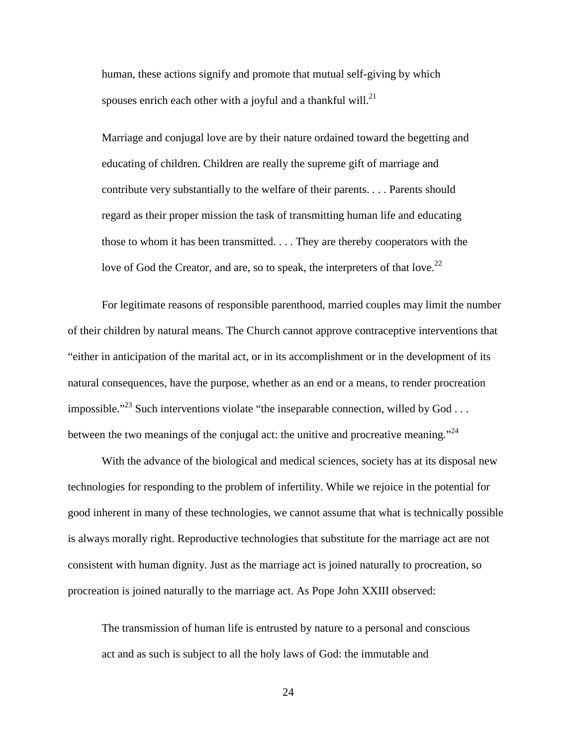human, these actions signify and promote that mutual self-giving by which spouses enrich each other with a joyful and a thankful will. $^{21}$ 

Marriage and conjugal love are by their nature ordained toward the begetting and educating of children. Children are really the supreme gift of marriage and contribute very substantially to the welfare of their parents. . . . Parents should regard as their proper mission the task of transmitting human life and educating those to whom it has been transmitted. . . . They are thereby cooperators with the love of God the Creator, and are, so to speak, the interpreters of that love.<sup>22</sup>

For legitimate reasons of responsible parenthood, married couples may limit the number of their children by natural means. The Church cannot approve contraceptive interventions that "either in anticipation of the marital act, or in its accomplishment or in the development of its natural consequences, have the purpose, whether as an end or a means, to render procreation impossible."<sup>23</sup> Such interventions violate "the inseparable connection, willed by God . . . between the two meanings of the conjugal act: the unitive and procreative meaning.<sup> $24$ </sup>

With the advance of the biological and medical sciences, society has at its disposal new technologies for responding to the problem of infertility. While we rejoice in the potential for good inherent in many of these technologies, we cannot assume that what is technically possible is always morally right. Reproductive technologies that substitute for the marriage act are not consistent with human dignity. Just as the marriage act is joined naturally to procreation, so procreation is joined naturally to the marriage act. As Pope John XXIII observed:

The transmission of human life is entrusted by nature to a personal and conscious act and as such is subject to all the holy laws of God: the immutable and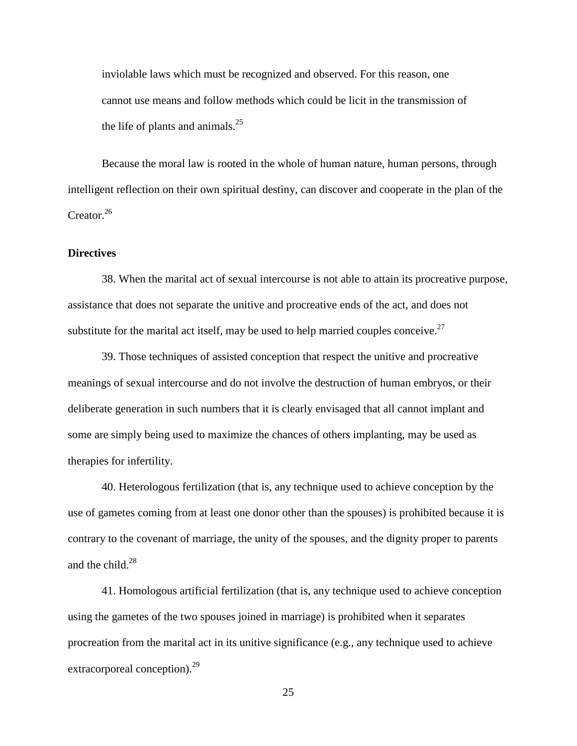inviolable laws which must be recognized and observed. For this reason, one cannot use means and follow methods which could be licit in the transmission of the life of plants and animals.<sup>25</sup>

Because the moral law is rooted in the whole of human nature, human persons, through intelligent reflection on their own spiritual destiny, can discover and cooperate in the plan of the Creator.<sup>26</sup>

## **Directives**

38. When the marital act of sexual intercourse is not able to attain its procreative purpose, assistance that does not separate the unitive and procreative ends of the act, and does not substitute for the marital act itself, may be used to help married couples conceive.<sup>27</sup>

39. Those techniques of assisted conception that respect the unitive and procreative meanings of sexual intercourse and do not involve the destruction of human embryos, or their deliberate generation in such numbers that it is clearly envisaged that all cannot implant and some are simply being used to maximize the chances of others implanting, may be used as therapies for infertility.

40. Heterologous fertilization (that is, any technique used to achieve conception by the use of gametes coming from at least one donor other than the spouses) is prohibited because it is contrary to the covenant of marriage, the unity of the spouses, and the dignity proper to parents and the child.<sup>28</sup>

41. Homologous artificial fertilization (that is, any technique used to achieve conception using the gametes of the two spouses joined in marriage) is prohibited when it separates procreation from the marital act in its unitive significance (e.g., any technique used to achieve extracorporeal conception).<sup>29</sup>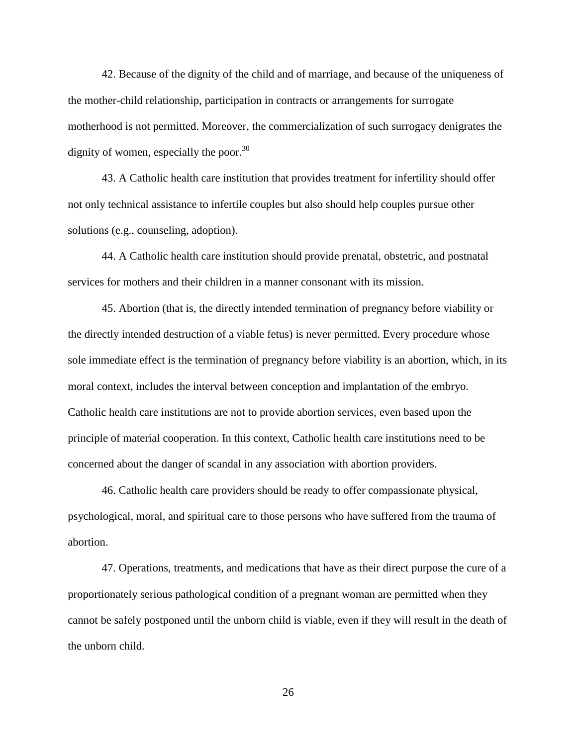42. Because of the dignity of the child and of marriage, and because of the uniqueness of the mother-child relationship, participation in contracts or arrangements for surrogate motherhood is not permitted. Moreover, the commercialization of such surrogacy denigrates the dignity of women, especially the poor. $30$ 

43. A Catholic health care institution that provides treatment for infertility should offer not only technical assistance to infertile couples but also should help couples pursue other solutions (e.g., counseling, adoption).

44. A Catholic health care institution should provide prenatal, obstetric, and postnatal services for mothers and their children in a manner consonant with its mission.

45. Abortion (that is, the directly intended termination of pregnancy before viability or the directly intended destruction of a viable fetus) is never permitted. Every procedure whose sole immediate effect is the termination of pregnancy before viability is an abortion, which, in its moral context, includes the interval between conception and implantation of the embryo. Catholic health care institutions are not to provide abortion services, even based upon the principle of material cooperation. In this context, Catholic health care institutions need to be concerned about the danger of scandal in any association with abortion providers.

46. Catholic health care providers should be ready to offer compassionate physical, psychological, moral, and spiritual care to those persons who have suffered from the trauma of abortion.

47. Operations, treatments, and medications that have as their direct purpose the cure of a proportionately serious pathological condition of a pregnant woman are permitted when they cannot be safely postponed until the unborn child is viable, even if they will result in the death of the unborn child.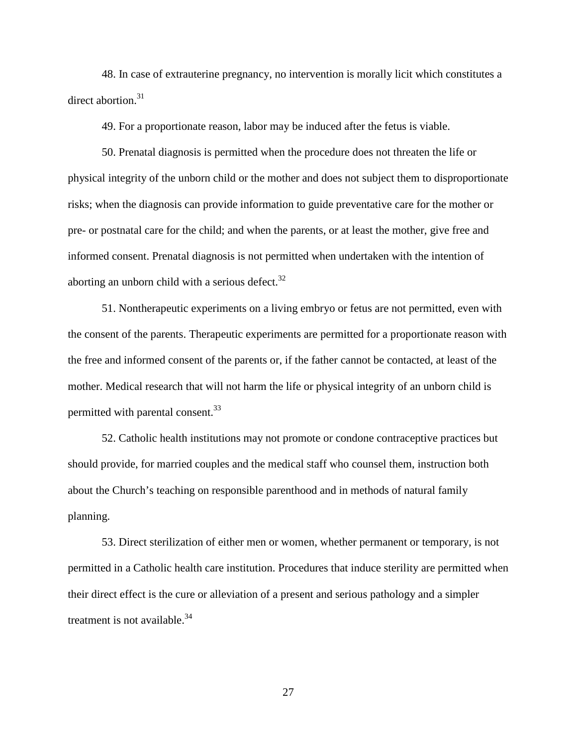48. In case of extrauterine pregnancy, no intervention is morally licit which constitutes a direct abortion.<sup>31</sup>

49. For a proportionate reason, labor may be induced after the fetus is viable.

50. Prenatal diagnosis is permitted when the procedure does not threaten the life or physical integrity of the unborn child or the mother and does not subject them to disproportionate risks; when the diagnosis can provide information to guide preventative care for the mother or pre- or postnatal care for the child; and when the parents, or at least the mother, give free and informed consent. Prenatal diagnosis is not permitted when undertaken with the intention of aborting an unborn child with a serious defect.<sup>32</sup>

51. Nontherapeutic experiments on a living embryo or fetus are not permitted, even with the consent of the parents. Therapeutic experiments are permitted for a proportionate reason with the free and informed consent of the parents or, if the father cannot be contacted, at least of the mother. Medical research that will not harm the life or physical integrity of an unborn child is permitted with parental consent.<sup>33</sup>

52. Catholic health institutions may not promote or condone contraceptive practices but should provide, for married couples and the medical staff who counsel them, instruction both about the Church's teaching on responsible parenthood and in methods of natural family planning.

53. Direct sterilization of either men or women, whether permanent or temporary, is not permitted in a Catholic health care institution. Procedures that induce sterility are permitted when their direct effect is the cure or alleviation of a present and serious pathology and a simpler treatment is not available. $34$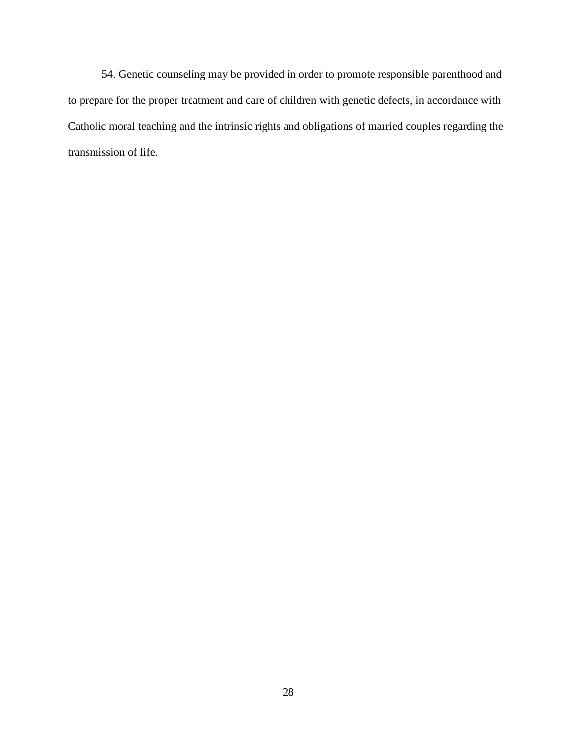54. Genetic counseling may be provided in order to promote responsible parenthood and to prepare for the proper treatment and care of children with genetic defects, in accordance with Catholic moral teaching and the intrinsic rights and obligations of married couples regarding the transmission of life.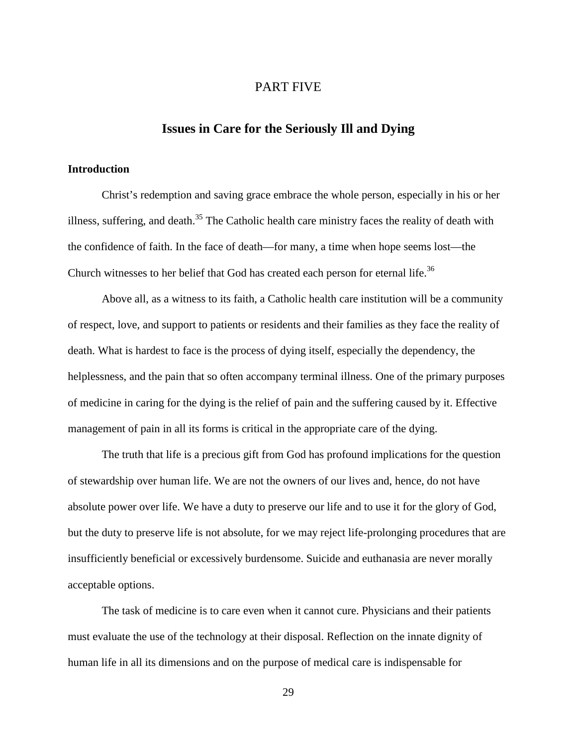# PART FIVE

# **Issues in Care for the Seriously Ill and Dying**

## **Introduction**

Christ's redemption and saving grace embrace the whole person, especially in his or her illness, suffering, and death.<sup>35</sup> The Catholic health care ministry faces the reality of death with the confidence of faith. In the face of death—for many, a time when hope seems lost—the Church witnesses to her belief that God has created each person for eternal life.<sup>36</sup>

Above all, as a witness to its faith, a Catholic health care institution will be a community of respect, love, and support to patients or residents and their families as they face the reality of death. What is hardest to face is the process of dying itself, especially the dependency, the helplessness, and the pain that so often accompany terminal illness. One of the primary purposes of medicine in caring for the dying is the relief of pain and the suffering caused by it. Effective management of pain in all its forms is critical in the appropriate care of the dying.

The truth that life is a precious gift from God has profound implications for the question of stewardship over human life. We are not the owners of our lives and, hence, do not have absolute power over life. We have a duty to preserve our life and to use it for the glory of God, but the duty to preserve life is not absolute, for we may reject life-prolonging procedures that are insufficiently beneficial or excessively burdensome. Suicide and euthanasia are never morally acceptable options.

The task of medicine is to care even when it cannot cure. Physicians and their patients must evaluate the use of the technology at their disposal. Reflection on the innate dignity of human life in all its dimensions and on the purpose of medical care is indispensable for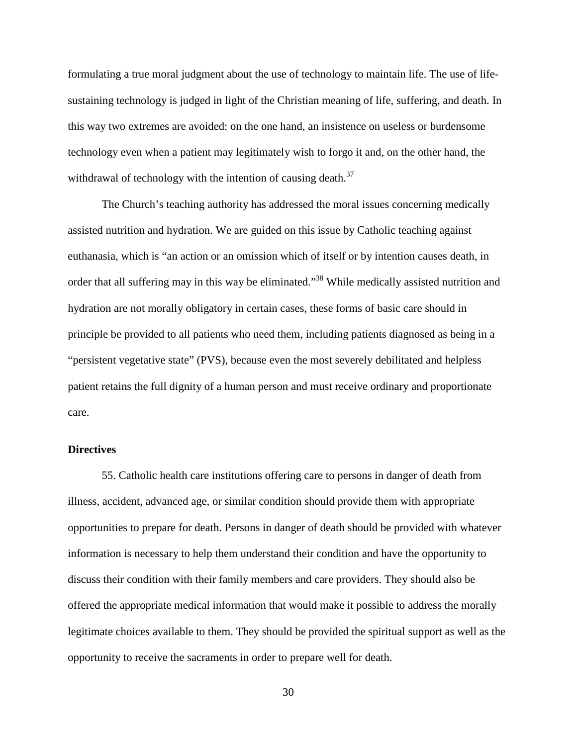formulating a true moral judgment about the use of technology to maintain life. The use of lifesustaining technology is judged in light of the Christian meaning of life, suffering, and death. In this way two extremes are avoided: on the one hand, an insistence on useless or burdensome technology even when a patient may legitimately wish to forgo it and, on the other hand, the withdrawal of technology with the intention of causing death.<sup>37</sup>

The Church's teaching authority has addressed the moral issues concerning medically assisted nutrition and hydration. We are guided on this issue by Catholic teaching against euthanasia, which is "an action or an omission which of itself or by intention causes death, in order that all suffering may in this way be eliminated."<sup>38</sup> While medically assisted nutrition and hydration are not morally obligatory in certain cases, these forms of basic care should in principle be provided to all patients who need them, including patients diagnosed as being in a "persistent vegetative state" (PVS), because even the most severely debilitated and helpless patient retains the full dignity of a human person and must receive ordinary and proportionate care.

## **Directives**

55. Catholic health care institutions offering care to persons in danger of death from illness, accident, advanced age, or similar condition should provide them with appropriate opportunities to prepare for death. Persons in danger of death should be provided with whatever information is necessary to help them understand their condition and have the opportunity to discuss their condition with their family members and care providers. They should also be offered the appropriate medical information that would make it possible to address the morally legitimate choices available to them. They should be provided the spiritual support as well as the opportunity to receive the sacraments in order to prepare well for death.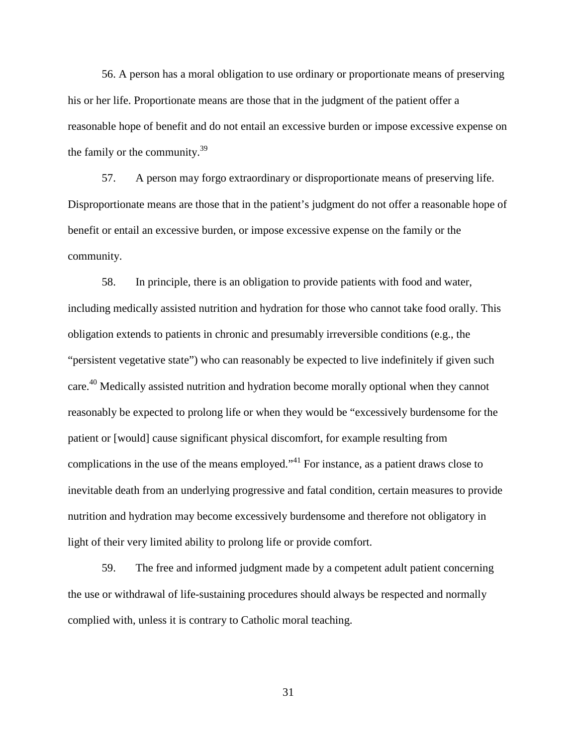56. A person has a moral obligation to use ordinary or proportionate means of preserving his or her life. Proportionate means are those that in the judgment of the patient offer a reasonable hope of benefit and do not entail an excessive burden or impose excessive expense on the family or the community.39

57. A person may forgo extraordinary or disproportionate means of preserving life. Disproportionate means are those that in the patient's judgment do not offer a reasonable hope of benefit or entail an excessive burden, or impose excessive expense on the family or the community.

58. In principle, there is an obligation to provide patients with food and water, including medically assisted nutrition and hydration for those who cannot take food orally. This obligation extends to patients in chronic and presumably irreversible conditions (e.g., the "persistent vegetative state") who can reasonably be expected to live indefinitely if given such care.40 Medically assisted nutrition and hydration become morally optional when they cannot reasonably be expected to prolong life or when they would be "excessively burdensome for the patient or [would] cause significant physical discomfort, for example resulting from complications in the use of the means employed."<sup>41</sup> For instance, as a patient draws close to inevitable death from an underlying progressive and fatal condition, certain measures to provide nutrition and hydration may become excessively burdensome and therefore not obligatory in light of their very limited ability to prolong life or provide comfort.

59. The free and informed judgment made by a competent adult patient concerning the use or withdrawal of life-sustaining procedures should always be respected and normally complied with, unless it is contrary to Catholic moral teaching.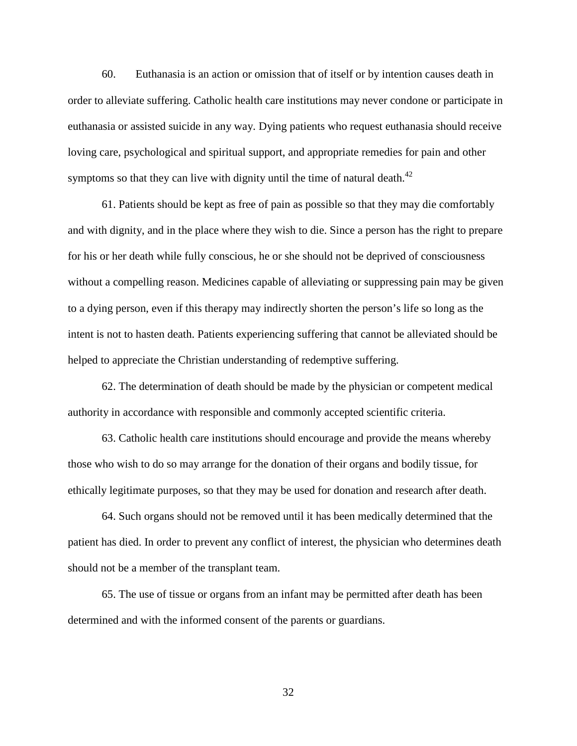60. Euthanasia is an action or omission that of itself or by intention causes death in order to alleviate suffering. Catholic health care institutions may never condone or participate in euthanasia or assisted suicide in any way. Dying patients who request euthanasia should receive loving care, psychological and spiritual support, and appropriate remedies for pain and other symptoms so that they can live with dignity until the time of natural death. $42$ 

61. Patients should be kept as free of pain as possible so that they may die comfortably and with dignity, and in the place where they wish to die. Since a person has the right to prepare for his or her death while fully conscious, he or she should not be deprived of consciousness without a compelling reason. Medicines capable of alleviating or suppressing pain may be given to a dying person, even if this therapy may indirectly shorten the person's life so long as the intent is not to hasten death. Patients experiencing suffering that cannot be alleviated should be helped to appreciate the Christian understanding of redemptive suffering.

62. The determination of death should be made by the physician or competent medical authority in accordance with responsible and commonly accepted scientific criteria.

63. Catholic health care institutions should encourage and provide the means whereby those who wish to do so may arrange for the donation of their organs and bodily tissue, for ethically legitimate purposes, so that they may be used for donation and research after death.

64. Such organs should not be removed until it has been medically determined that the patient has died. In order to prevent any conflict of interest, the physician who determines death should not be a member of the transplant team.

65. The use of tissue or organs from an infant may be permitted after death has been determined and with the informed consent of the parents or guardians.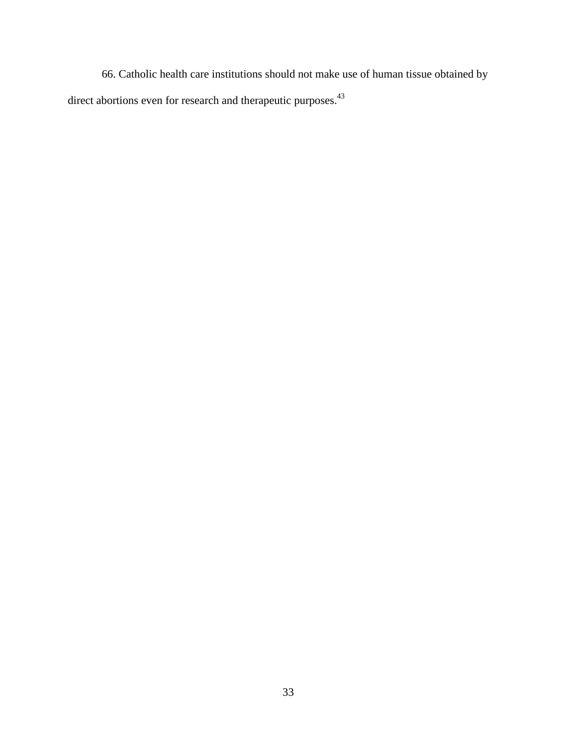66. Catholic health care institutions should not make use of human tissue obtained by direct abortions even for research and therapeutic purposes.<sup>43</sup>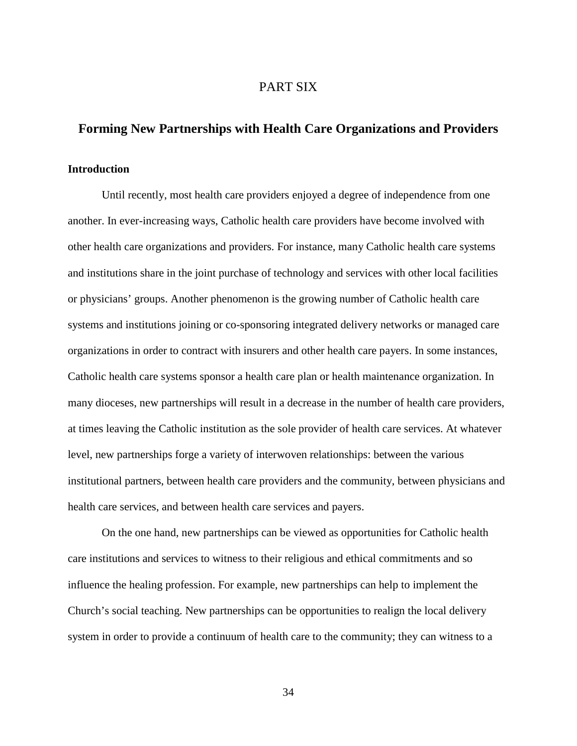# PART SIX

# **Forming New Partnerships with Health Care Organizations and Providers**

## **Introduction**

Until recently, most health care providers enjoyed a degree of independence from one another. In ever-increasing ways, Catholic health care providers have become involved with other health care organizations and providers. For instance, many Catholic health care systems and institutions share in the joint purchase of technology and services with other local facilities or physicians' groups. Another phenomenon is the growing number of Catholic health care systems and institutions joining or co-sponsoring integrated delivery networks or managed care organizations in order to contract with insurers and other health care payers. In some instances, Catholic health care systems sponsor a health care plan or health maintenance organization. In many dioceses, new partnerships will result in a decrease in the number of health care providers, at times leaving the Catholic institution as the sole provider of health care services. At whatever level, new partnerships forge a variety of interwoven relationships: between the various institutional partners, between health care providers and the community, between physicians and health care services, and between health care services and payers.

On the one hand, new partnerships can be viewed as opportunities for Catholic health care institutions and services to witness to their religious and ethical commitments and so influence the healing profession. For example, new partnerships can help to implement the Church's social teaching. New partnerships can be opportunities to realign the local delivery system in order to provide a continuum of health care to the community; they can witness to a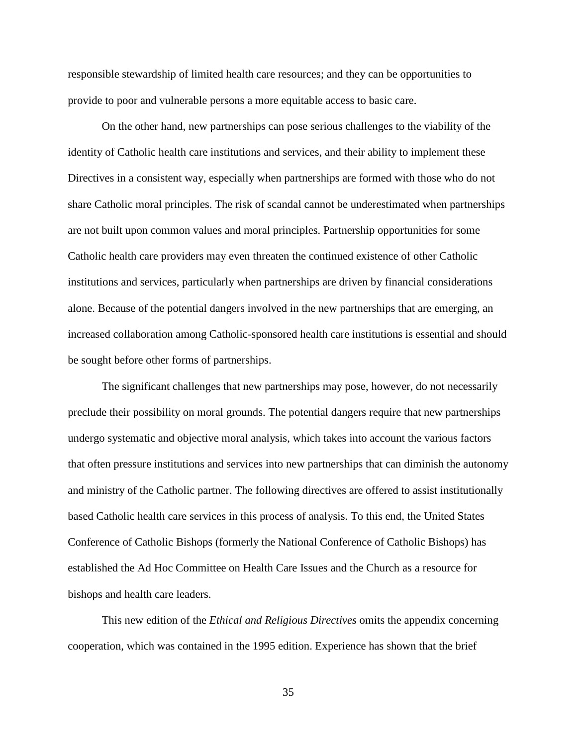responsible stewardship of limited health care resources; and they can be opportunities to provide to poor and vulnerable persons a more equitable access to basic care.

On the other hand, new partnerships can pose serious challenges to the viability of the identity of Catholic health care institutions and services, and their ability to implement these Directives in a consistent way, especially when partnerships are formed with those who do not share Catholic moral principles. The risk of scandal cannot be underestimated when partnerships are not built upon common values and moral principles. Partnership opportunities for some Catholic health care providers may even threaten the continued existence of other Catholic institutions and services, particularly when partnerships are driven by financial considerations alone. Because of the potential dangers involved in the new partnerships that are emerging, an increased collaboration among Catholic-sponsored health care institutions is essential and should be sought before other forms of partnerships.

The significant challenges that new partnerships may pose, however, do not necessarily preclude their possibility on moral grounds. The potential dangers require that new partnerships undergo systematic and objective moral analysis, which takes into account the various factors that often pressure institutions and services into new partnerships that can diminish the autonomy and ministry of the Catholic partner. The following directives are offered to assist institutionally based Catholic health care services in this process of analysis. To this end, the United States Conference of Catholic Bishops (formerly the National Conference of Catholic Bishops) has established the Ad Hoc Committee on Health Care Issues and the Church as a resource for bishops and health care leaders.

This new edition of the *Ethical and Religious Directives* omits the appendix concerning cooperation, which was contained in the 1995 edition. Experience has shown that the brief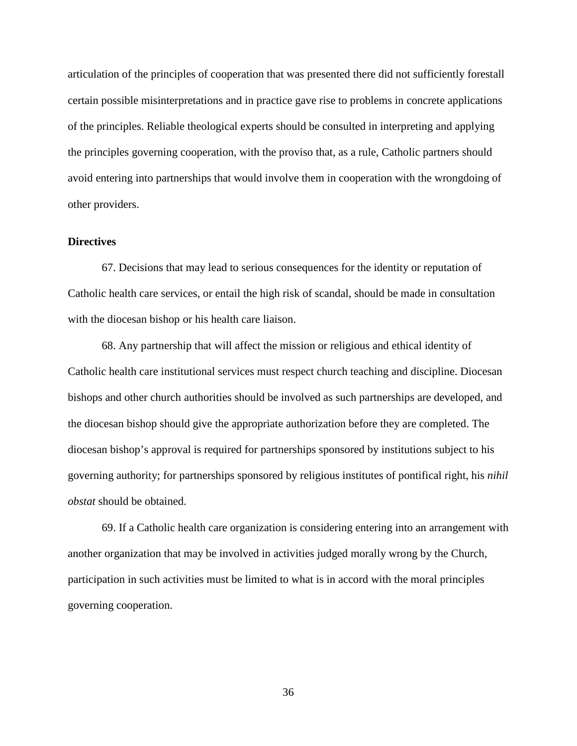articulation of the principles of cooperation that was presented there did not sufficiently forestall certain possible misinterpretations and in practice gave rise to problems in concrete applications of the principles. Reliable theological experts should be consulted in interpreting and applying the principles governing cooperation, with the proviso that, as a rule, Catholic partners should avoid entering into partnerships that would involve them in cooperation with the wrongdoing of other providers.

#### **Directives**

67. Decisions that may lead to serious consequences for the identity or reputation of Catholic health care services, or entail the high risk of scandal, should be made in consultation with the diocesan bishop or his health care liaison.

68. Any partnership that will affect the mission or religious and ethical identity of Catholic health care institutional services must respect church teaching and discipline. Diocesan bishops and other church authorities should be involved as such partnerships are developed, and the diocesan bishop should give the appropriate authorization before they are completed. The diocesan bishop's approval is required for partnerships sponsored by institutions subject to his governing authority; for partnerships sponsored by religious institutes of pontifical right, his *nihil obstat* should be obtained.

69. If a Catholic health care organization is considering entering into an arrangement with another organization that may be involved in activities judged morally wrong by the Church, participation in such activities must be limited to what is in accord with the moral principles governing cooperation.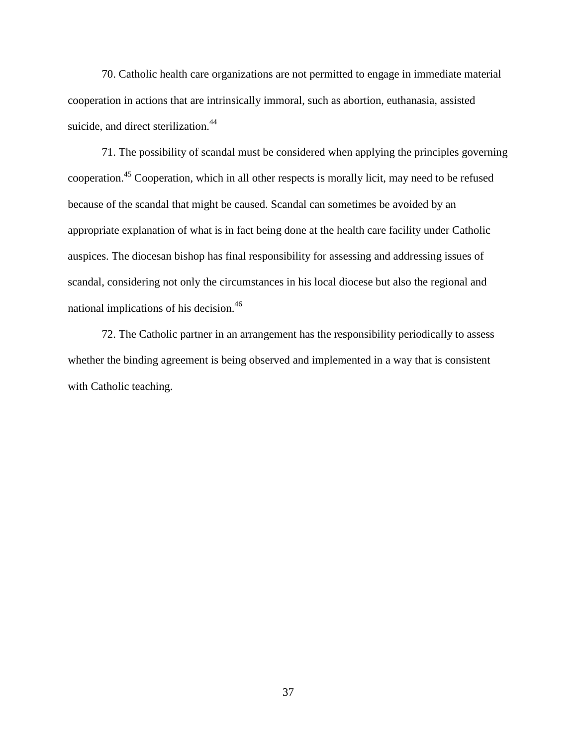70. Catholic health care organizations are not permitted to engage in immediate material cooperation in actions that are intrinsically immoral, such as abortion, euthanasia, assisted suicide, and direct sterilization.<sup>44</sup>

71. The possibility of scandal must be considered when applying the principles governing cooperation.<sup>45</sup> Cooperation, which in all other respects is morally licit, may need to be refused because of the scandal that might be caused. Scandal can sometimes be avoided by an appropriate explanation of what is in fact being done at the health care facility under Catholic auspices. The diocesan bishop has final responsibility for assessing and addressing issues of scandal, considering not only the circumstances in his local diocese but also the regional and national implications of his decision.<sup>46</sup>

72. The Catholic partner in an arrangement has the responsibility periodically to assess whether the binding agreement is being observed and implemented in a way that is consistent with Catholic teaching.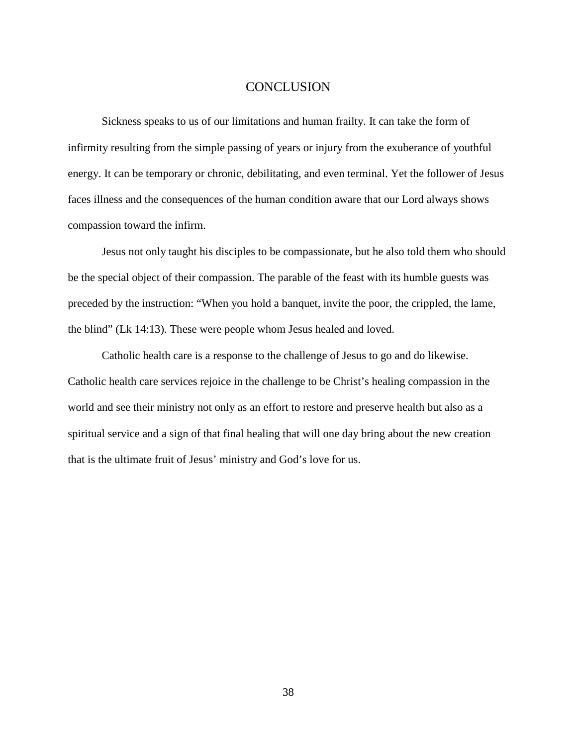# **CONCLUSION**

Sickness speaks to us of our limitations and human frailty. It can take the form of infirmity resulting from the simple passing of years or injury from the exuberance of youthful energy. It can be temporary or chronic, debilitating, and even terminal. Yet the follower of Jesus faces illness and the consequences of the human condition aware that our Lord always shows compassion toward the infirm.

Jesus not only taught his disciples to be compassionate, but he also told them who should be the special object of their compassion. The parable of the feast with its humble guests was preceded by the instruction: "When you hold a banquet, invite the poor, the crippled, the lame, the blind" (Lk 14:13). These were people whom Jesus healed and loved.

Catholic health care is a response to the challenge of Jesus to go and do likewise. Catholic health care services rejoice in the challenge to be Christ's healing compassion in the world and see their ministry not only as an effort to restore and preserve health but also as a spiritual service and a sign of that final healing that will one day bring about the new creation that is the ultimate fruit of Jesus' ministry and God's love for us.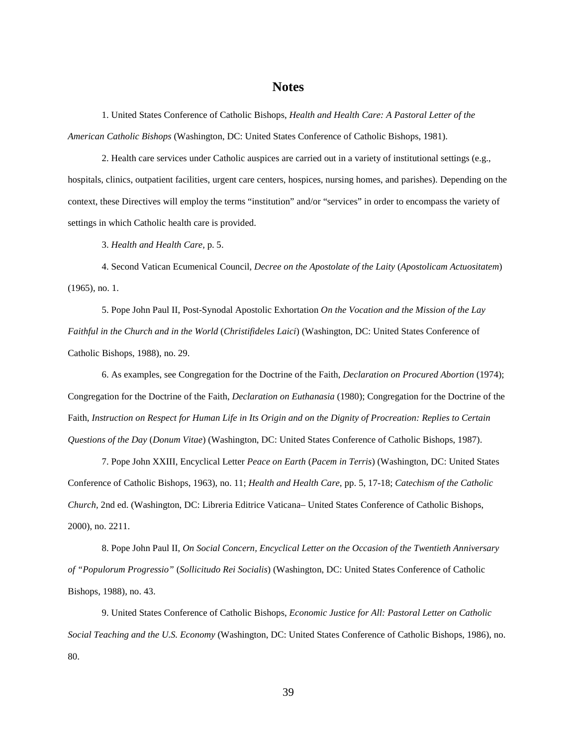## **Notes**

1. United States Conference of Catholic Bishops, *Health and Health Care: A Pastoral Letter of the American Catholic Bishops* (Washington, DC: United States Conference of Catholic Bishops, 1981).

2. Health care services under Catholic auspices are carried out in a variety of institutional settings (e.g., hospitals, clinics, outpatient facilities, urgent care centers, hospices, nursing homes, and parishes). Depending on the context, these Directives will employ the terms "institution" and/or "services" in order to encompass the variety of settings in which Catholic health care is provided.

3. *Health and Health Care,* p. 5.

4. Second Vatican Ecumenical Council, *Decree on the Apostolate of the Laity* (*Apostolicam Actuositatem*) (1965), no. 1.

5. Pope John Paul II, Post-Synodal Apostolic Exhortation *On the Vocation and the Mission of the Lay Faithful in the Church and in the World* (*Christifideles Laici*) (Washington, DC: United States Conference of Catholic Bishops, 1988), no. 29.

6. As examples, see Congregation for the Doctrine of the Faith, *Declaration on Procured Abortion* (1974); Congregation for the Doctrine of the Faith, *Declaration on Euthanasia* (1980); Congregation for the Doctrine of the Faith, *Instruction on Respect for Human Life in Its Origin and on the Dignity of Procreation: Replies to Certain Questions of the Day* (*Donum Vitae*) (Washington, DC: United States Conference of Catholic Bishops, 1987).

7. Pope John XXIII, Encyclical Letter *Peace on Earth* (*Pacem in Terris*) (Washington, DC: United States Conference of Catholic Bishops, 1963), no. 11; *Health and Health Care,* pp. 5, 17-18; *Catechism of the Catholic Church,* 2nd ed. (Washington, DC: Libreria Editrice Vaticana– United States Conference of Catholic Bishops, 2000), no. 2211.

8. Pope John Paul II, *On Social Concern, Encyclical Letter on the Occasion of the Twentieth Anniversary of "Populorum Progressio"* (*Sollicitudo Rei Socialis*) (Washington, DC: United States Conference of Catholic Bishops, 1988), no. 43.

9. United States Conference of Catholic Bishops, *Economic Justice for All: Pastoral Letter on Catholic Social Teaching and the U.S. Economy* (Washington, DC: United States Conference of Catholic Bishops, 1986), no. 80.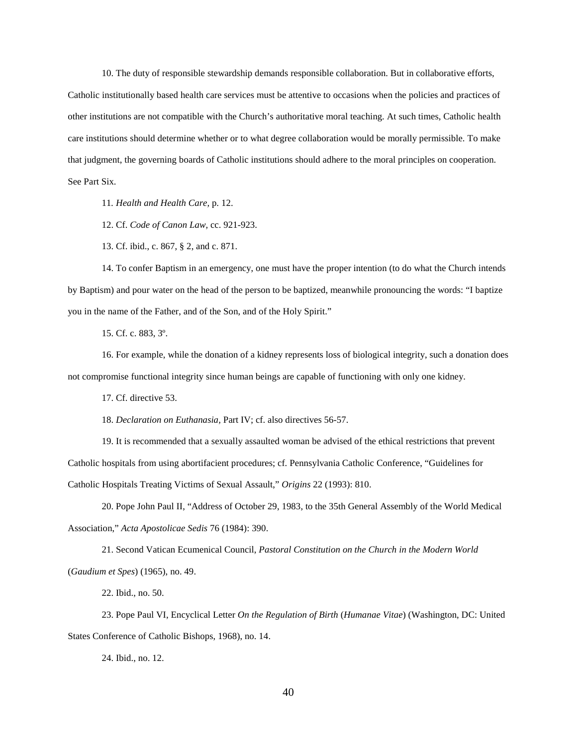10. The duty of responsible stewardship demands responsible collaboration. But in collaborative efforts, Catholic institutionally based health care services must be attentive to occasions when the policies and practices of other institutions are not compatible with the Church's authoritative moral teaching. At such times, Catholic health care institutions should determine whether or to what degree collaboration would be morally permissible. To make that judgment, the governing boards of Catholic institutions should adhere to the moral principles on cooperation. See Part Six.

11*. Health and Health Care,* p. 12.

12. Cf. *Code of Canon Law,* cc. 921-923.

13. Cf. ibid., c. 867, § 2, and c. 871.

14. To confer Baptism in an emergency, one must have the proper intention (to do what the Church intends by Baptism) and pour water on the head of the person to be baptized, meanwhile pronouncing the words: "I baptize you in the name of the Father, and of the Son, and of the Holy Spirit."

15. Cf. c. 883, 3º.

16. For example, while the donation of a kidney represents loss of biological integrity, such a donation does not compromise functional integrity since human beings are capable of functioning with only one kidney.

17. Cf. directive 53.

18. *Declaration on Euthanasia,* Part IV; cf. also directives 56-57.

19. It is recommended that a sexually assaulted woman be advised of the ethical restrictions that prevent Catholic hospitals from using abortifacient procedures; cf. Pennsylvania Catholic Conference, "Guidelines for Catholic Hospitals Treating Victims of Sexual Assault," *Origins* 22 (1993): 810.

20. Pope John Paul II, "Address of October 29, 1983, to the 35th General Assembly of the World Medical Association," *Acta Apostolicae Sedis* 76 (1984): 390.

21. Second Vatican Ecumenical Council, *Pastoral Constitution on the Church in the Modern World* (*Gaudium et Spes*) (1965), no. 49.

22. Ibid., no. 50.

23. Pope Paul VI, Encyclical Letter *On the Regulation of Birth* (*Humanae Vitae*) (Washington, DC: United States Conference of Catholic Bishops, 1968), no. 14.

24. Ibid., no. 12.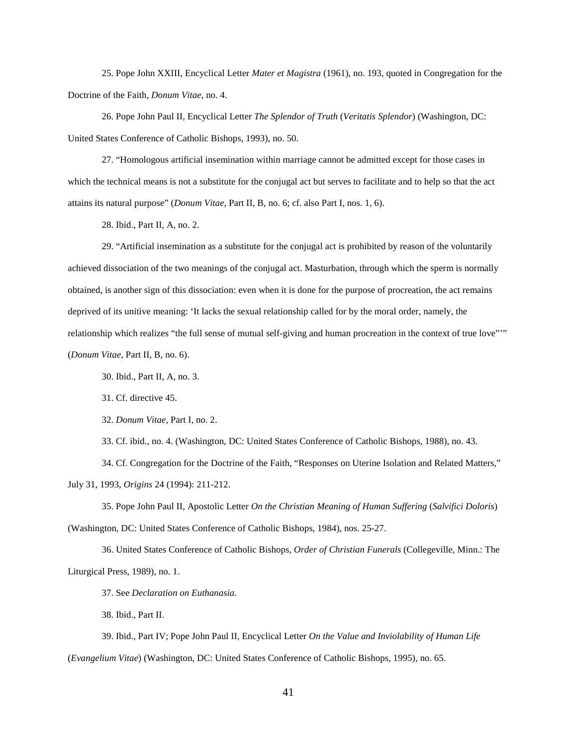25. Pope John XXIII, Encyclical Letter *Mater et Magistra* (1961), no. 193, quoted in Congregation for the Doctrine of the Faith, *Donum Vitae,* no. 4.

26. Pope John Paul II, Encyclical Letter *The Splendor of Truth* (*Veritatis Splendor*) (Washington, DC: United States Conference of Catholic Bishops, 1993), no. 50.

27. "Homologous artificial insemination within marriage cannot be admitted except for those cases in which the technical means is not a substitute for the conjugal act but serves to facilitate and to help so that the act attains its natural purpose" (*Donum Vitae,* Part II, B, no. 6; cf. also Part I, nos. 1, 6).

28. Ibid., Part II, A, no. 2.

29. "Artificial insemination as a substitute for the conjugal act is prohibited by reason of the voluntarily achieved dissociation of the two meanings of the conjugal act. Masturbation, through which the sperm is normally obtained, is another sign of this dissociation: even when it is done for the purpose of procreation, the act remains deprived of its unitive meaning: 'It lacks the sexual relationship called for by the moral order, namely, the relationship which realizes "the full sense of mutual self-giving and human procreation in the context of true love"'" (*Donum Vitae,* Part II, B, no. 6).

30. Ibid., Part II, A, no. 3.

31. Cf. directive 45.

32. *Donum Vitae,* Part I, no. 2.

33. Cf. ibid., no. 4. (Washington, DC: United States Conference of Catholic Bishops, 1988), no. 43.

34. Cf. Congregation for the Doctrine of the Faith, "Responses on Uterine Isolation and Related Matters,"

July 31, 1993, *Origins* 24 (1994): 211-212.

35. Pope John Paul II, Apostolic Letter *On the Christian Meaning of Human Suffering* (*Salvifici Doloris*) (Washington, DC: United States Conference of Catholic Bishops, 1984), nos. 25-27.

36. United States Conference of Catholic Bishops, *Order of Christian Funerals* (Collegeville, Minn.: The Liturgical Press, 1989), no. 1.

37. See *Declaration on Euthanasia.*

38. Ibid., Part II.

39. Ibid., Part IV; Pope John Paul II, Encyclical Letter *On the Value and Inviolability of Human Life* (*Evangelium Vitae*) (Washington, DC: United States Conference of Catholic Bishops, 1995), no. 65.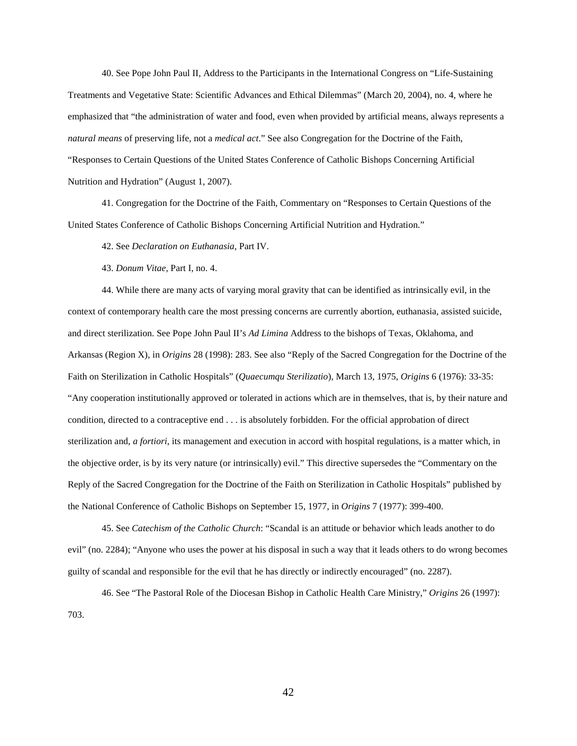40. See Pope John Paul II, Address to the Participants in the International Congress on "Life-Sustaining Treatments and Vegetative State: Scientific Advances and Ethical Dilemmas" (March 20, 2004), no. 4, where he emphasized that "the administration of water and food, even when provided by artificial means, always represents a *natural means* of preserving life, not a *medical act*." See also Congregation for the Doctrine of the Faith, "Responses to Certain Questions of the United States Conference of Catholic Bishops Concerning Artificial Nutrition and Hydration" (August 1, 2007).

41. Congregation for the Doctrine of the Faith, Commentary on "Responses to Certain Questions of the United States Conference of Catholic Bishops Concerning Artificial Nutrition and Hydration."

42. See *Declaration on Euthanasia*, Part IV.

43. *Donum Vitae,* Part I, no. 4.

44. While there are many acts of varying moral gravity that can be identified as intrinsically evil, in the context of contemporary health care the most pressing concerns are currently abortion, euthanasia, assisted suicide, and direct sterilization. See Pope John Paul II's *Ad Limina* Address to the bishops of Texas, Oklahoma, and Arkansas (Region X), in *Origins* 28 (1998): 283. See also "Reply of the Sacred Congregation for the Doctrine of the Faith on Sterilization in Catholic Hospitals" (*Quaecumqu Sterilizatio*), March 13, 1975, *Origins* 6 (1976): 33-35: "Any cooperation institutionally approved or tolerated in actions which are in themselves, that is, by their nature and condition, directed to a contraceptive end . . . is absolutely forbidden. For the official approbation of direct sterilization and, *a fortiori*, its management and execution in accord with hospital regulations, is a matter which, in the objective order, is by its very nature (or intrinsically) evil." This directive supersedes the "Commentary on the Reply of the Sacred Congregation for the Doctrine of the Faith on Sterilization in Catholic Hospitals" published by the National Conference of Catholic Bishops on September 15, 1977, in *Origins* 7 (1977): 399-400.

45. See *Catechism of the Catholic Church*: "Scandal is an attitude or behavior which leads another to do evil" (no. 2284); "Anyone who uses the power at his disposal in such a way that it leads others to do wrong becomes guilty of scandal and responsible for the evil that he has directly or indirectly encouraged" (no. 2287).

46. See "The Pastoral Role of the Diocesan Bishop in Catholic Health Care Ministry," *Origins* 26 (1997): 703.